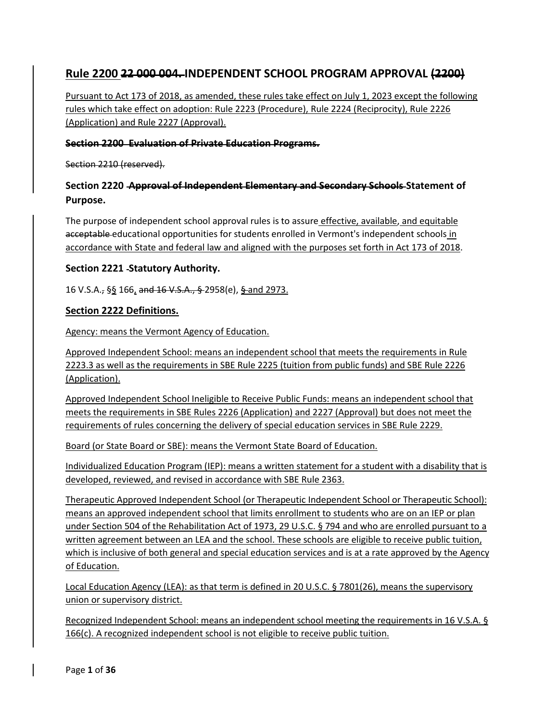# **Rule 2200 22 000 004. INDEPENDENT SCHOOL PROGRAM APPROVAL (2200)**

Pursuant to Act 173 of 2018, as amended, these rules take effect on July 1, 2023 except the following rules which take effect on adoption: Rule 2223 (Procedure), Rule 2224 (Reciprocity), Rule 2226 (Application) and Rule 2227 (Approval).

### **Section 2200 Evaluation of Private Education Programs.**

Section 2210 (reserved).

# **Section 2220 Approval of Independent Elementary and Secondary Schools Statement of Purpose.**

The purpose of independent school approval rules is to assure effective, available, and equitable acceptable educational opportunities for students enrolled in Vermont's independent schools in accordance with State and federal law and aligned with the purposes set forth in Act 173 of 2018.

### **Section 2221 Statutory Authority.**

16 V.S.A., §§ 166, and 16 V.S.A., § 2958(e), § and 2973.

### **Section 2222 Definitions.**

Agency: means the Vermont Agency of Education.

Approved Independent School: means an independent school that meets the requirements in Rule 2223.3 as well as the requirements in SBE Rule 2225 (tuition from public funds) and SBE Rule 2226 (Application).

Approved Independent School Ineligible to Receive Public Funds: means an independent school that meets the requirements in SBE Rules 2226 (Application) and 2227 (Approval) but does not meet the requirements of rules concerning the delivery of special education services in SBE Rule 2229.

Board (or State Board or SBE): means the Vermont State Board of Education.

Individualized Education Program (IEP): means a written statement for a student with a disability that is developed, reviewed, and revised in accordance with SBE Rule 2363.

Therapeutic Approved Independent School (or Therapeutic Independent School or Therapeutic School): means an approved independent school that limits enrollment to students who are on an IEP or plan under Section 504 of the Rehabilitation Act of 1973, 29 U.S.C. § 794 and who are enrolled pursuant to a written agreement between an LEA and the school. These schools are eligible to receive public tuition, which is inclusive of both general and special education services and is at a rate approved by the Agency of Education.

Local Education Agency (LEA): as that term is defined in 20 U.S.C. § 7801(26), means the supervisory union or supervisory district.

Recognized Independent School: means an independent school meeting the requirements in 16 V.S.A. § 166(c). A recognized independent school is not eligible to receive public tuition.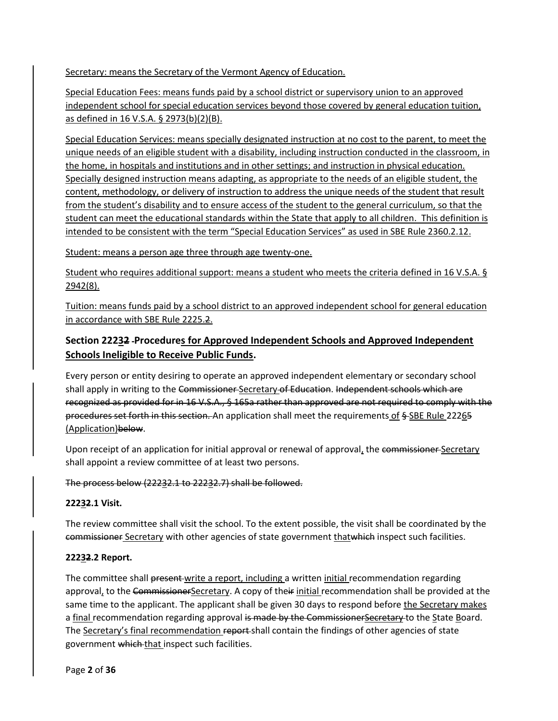Secretary: means the Secretary of the Vermont Agency of Education.

Special Education Fees: means funds paid by a school district or supervisory union to an approved independent school for special education services beyond those covered by general education tuition, as defined in 16 V.S.A. § 2973(b)(2)(B).

Special Education Services: means specially designated instruction at no cost to the parent, to meet the unique needs of an eligible student with a disability, including instruction conducted in the classroom, in the home, in hospitals and institutions and in other settings; and instruction in physical education. Specially designed instruction means adapting, as appropriate to the needs of an eligible student, the content, methodology, or delivery of instruction to address the unique needs of the student that result from the student's disability and to ensure access of the student to the general curriculum, so that the student can meet the educational standards within the State that apply to all children. This definition is intended to be consistent with the term "Special Education Services" as used in SBE Rule 2360.2.12.

Student: means a person age three through age twenty-one.

Student who requires additional support: means a student who meets the criteria defined in 16 V.S.A. § 2942(8).

Tuition: means funds paid by a school district to an approved independent school for general education in accordance with SBE Rule 2225.2.

# **Section 22232 Procedures for Approved Independent Schools and Approved Independent Schools Ineligible to Receive Public Funds.**

Every person or entity desiring to operate an approved independent elementary or secondary school shall apply in writing to the Commissioner Secretary of Education. Independent schools which are recognized as provided for in 16 V.S.A., § 165a rather than approved are not required to comply with the procedures set forth in this section. An application shall meet the requirements of § SBE Rule 22265 (Application)below.

Upon receipt of an application for initial approval or renewal of approval, the commissioner-Secretary shall appoint a review committee of at least two persons.

The process below (22232.1 to 22232.7) shall be followed.

### **22232.1 Visit.**

The review committee shall visit the school. To the extent possible, the visit shall be coordinated by the commissioner Secretary with other agencies of state government thatwhich inspect such facilities.

### **22232.2 Report.**

The committee shall present write a report, including a written initial recommendation regarding approval, to the CommissionerSecretary. A copy of their initial recommendation shall be provided at the same time to the applicant. The applicant shall be given 30 days to respond before the Secretary makes a final recommendation regarding approval is made by the CommissionerSecretary to the State Board. The Secretary's final recommendation report-shall contain the findings of other agencies of state government which that inspect such facilities.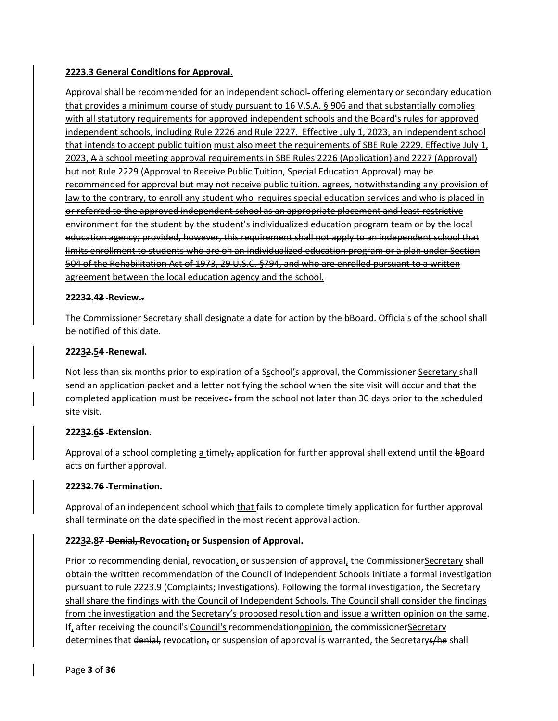### **2223.3 General Conditions for Approval.**

Approval shall be recommended for an independent school- offering elementary or secondary education that provides a minimum course of study pursuant to 16 V.S.A. § 906 and that substantially complies with all statutory requirements for approved independent schools and the Board's rules for approved independent schools, including Rule 2226 and Rule 2227. Effective July 1, 2023, an independent school that intends to accept public tuition must also meet the requirements of SBE Rule 2229. Effective July 1, 2023, A a school meeting approval requirements in SBE Rules 2226 (Application) and 2227 (Approval) but not Rule 2229 (Approval to Receive Public Tuition, Special Education Approval) may be recommended for approval but may not receive public tuition. agrees, notwithstanding any provision of law to the contrary, to enroll any student who requires special education services and who is placed in or referred to the approved independent school as an appropriate placement and least restrictive environment for the student by the student's individualized education program team or by the local education agency; provided, however, this requirement shall not apply to an independent school that limits enrollment to students who are on an individualized education program or a plan under Section 504 of the Rehabilitation Act of 1973, 29 U.S.C. §794, and who are enrolled pursuant to a written agreement between the local education agency and the school.

### **22232.43 Review..**

The Commissioner Secretary shall designate a date for action by the bBoard. Officials of the school shall be notified of this date.

#### **22232.54 Renewal.**

Not less than six months prior to expiration of a Sschool's approval, the Commissioner Secretary shall send an application packet and a letter notifying the school when the site visit will occur and that the completed application must be received. from the school not later than 30 days prior to the scheduled site visit.

### **22232.65 Extension.**

Approval of a school completing  $\frac{1}{2}$  timely, application for further approval shall extend until the  $\frac{1}{2}$ Board acts on further approval.

### **22232.76 Termination.**

Approval of an independent school which that fails to complete timely application for further approval shall terminate on the date specified in the most recent approval action.

### **22232.87 Denial, Revocation, or Suspension of Approval.**

Prior to recommending denial, revocation, or suspension of approval, the CommissionerSecretary shall obtain the written recommendation of the Council of Independent Schools initiate a formal investigation pursuant to rule 2223.9 (Complaints; Investigations). Following the formal investigation, the Secretary shall share the findings with the Council of Independent Schools. The Council shall consider the findings from the investigation and the Secretary's proposed resolution and issue a written opinion on the same. If, after receiving the council's Council's recommendationopinion, the commissionerSecretary determines that denial, revocation, or suspension of approval is warranted, the Secretarys/he shall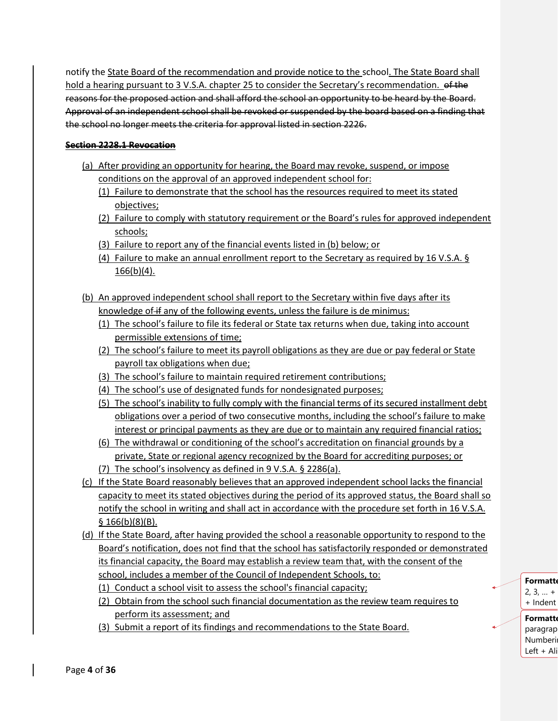notify the State Board of the recommendation and provide notice to the school. The State Board shall hold a hearing pursuant to 3 V.S.A. chapter 25 to consider the Secretary's recommendation. of the reasons for the proposed action and shall afford the school an opportunity to be heard by the Board. Approval of an independent school shall be revoked or suspended by the board based on a finding that the school no longer meets the criteria for approval listed in section 2226.

### **Section 2228.1 Revocation**

- (a) After providing an opportunity for hearing, the Board may revoke, suspend, or impose conditions on the approval of an approved independent school for:
	- (1) Failure to demonstrate that the school has the resources required to meet its stated objectives;
	- (2) Failure to comply with statutory requirement or the Board's rules for approved independent schools;
	- (3) Failure to report any of the financial events listed in (b) below; or
	- (4) Failure to make an annual enrollment report to the Secretary as required by 16 V.S.A. §  $166(b)(4)$ .
- (b) An approved independent school shall report to the Secretary within five days after its knowledge of if any of the following events, unless the failure is de minimus:
	- (1) The school's failure to file its federal or State tax returns when due, taking into account permissible extensions of time;
	- (2) The school's failure to meet its payroll obligations as they are due or pay federal or State payroll tax obligations when due;
	- (3) The school's failure to maintain required retirement contributions;
	- (4) The school's use of designated funds for nondesignated purposes;
	- (5) The school's inability to fully comply with the financial terms of its secured installment debt obligations over a period of two consecutive months, including the school's failure to make interest or principal payments as they are due or to maintain any required financial ratios;
	- (6) The withdrawal or conditioning of the school's accreditation on financial grounds by a private, State or regional agency recognized by the Board for accrediting purposes; or
	- (7) The school's insolvency as defined in 9 V.S.A. § 2286(a).
- (c) If the State Board reasonably believes that an approved independent school lacks the financial capacity to meet its stated objectives during the period of its approved status, the Board shall so notify the school in writing and shall act in accordance with the procedure set forth in 16 V.S.A.  $§ 166(b)(8)(B).$
- (d) If the State Board, after having provided the school a reasonable opportunity to respond to the Board's notification, does not find that the school has satisfactorily responded or demonstrated its financial capacity, the Board may establish a review team that, with the consent of the school, includes a member of the Council of Independent Schools, to:
	- (1) Conduct a school visit to assess the school's financial capacity;
	- (2) Obtain from the school such financial documentation as the review team requires to perform its assessment; and
	- (3) Submit a report of its findings and recommendations to the State Board.

# **Formatte**

 $2, 3, ... +$ + Indent

**Formatt** paragrap Numberi Left + Ali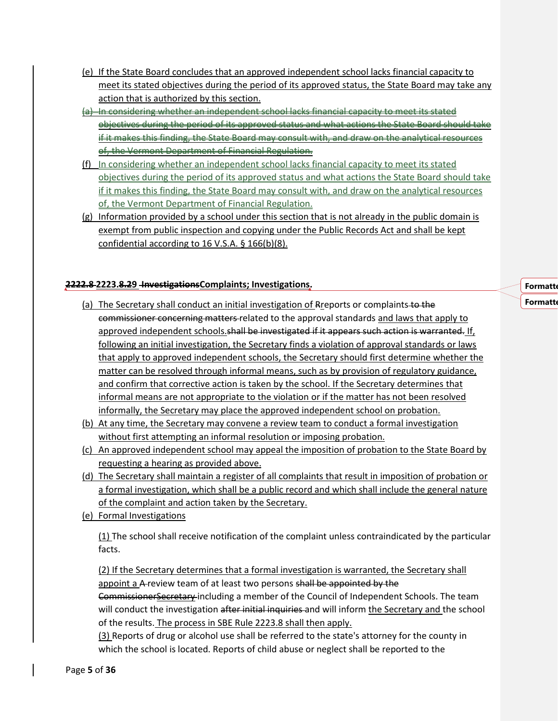- (e) If the State Board concludes that an approved independent school lacks financial capacity to meet its stated objectives during the period of its approved status, the State Board may take any action that is authorized by this section.
- (a) In considering whether an independent school lacks financial capacity to meet its stated objectives during the period of its approved status and what actions the State Board should t if it makes this finding, the State Board may consult with, and draw on the analytical resources of, the Vermont Department of Financial Regulation.
- (f) In considering whether an independent school lacks financial capacity to meet its stated objectives during the period of its approved status and what actions the State Board should take if it makes this finding, the State Board may consult with, and draw on the analytical resources of, the Vermont Department of Financial Regulation.
- (g) Information provided by a school under this section that is not already in the public domain is exempt from public inspection and copying under the Public Records Act and shall be kept confidential according to 16 V.S.A. § 166(b)(8).

### **2222.8 2223.8.29 InvestigationsComplaints; Investigations.**

- (a) The Secretary shall conduct an initial investigation of Rreports or complaints to the commissioner concerning matters related to the approval standards and laws that apply to approved independent schools. shall be investigated if it appears such action is warranted. If, following an initial investigation, the Secretary finds a violation of approval standards or laws that apply to approved independent schools, the Secretary should first determine whether the matter can be resolved through informal means, such as by provision of regulatory guidance, and confirm that corrective action is taken by the school. If the Secretary determines that informal means are not appropriate to the violation or if the matter has not been resolved informally, the Secretary may place the approved independent school on probation.
- (b) At any time, the Secretary may convene a review team to conduct a formal investigation without first attempting an informal resolution or imposing probation.
- (c) An approved independent school may appeal the imposition of probation to the State Board by requesting a hearing as provided above.
- (d) The Secretary shall maintain a register of all complaints that result in imposition of probation or a formal investigation, which shall be a public record and which shall include the general nature of the complaint and action taken by the Secretary.
- (e) Formal Investigations

(1) The school shall receive notification of the complaint unless contraindicated by the particular facts.

(2) If the Secretary determines that a formal investigation is warranted, the Secretary shall appoint a A-review team of at least two persons shall be appointed by the CommissionerSecretary including a member of the Council of Independent Schools. The team will conduct the investigation after initial inquiries and will inform the Secretary and the school of the results. The process in SBE Rule 2223.8 shall then apply.

(3) Reports of drug or alcohol use shall be referred to the state's attorney for the county in which the school is located. Reports of child abuse or neglect shall be reported to the

**Formatte Formatte**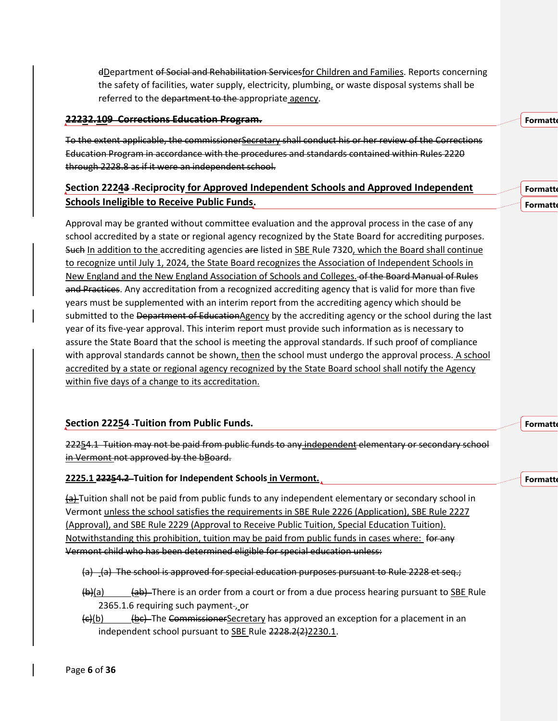dDepartment of Social and Rehabilitation Servicesfor Children and Families. Reports concerning the safety of facilities, water supply, electricity, plumbing, or waste disposal systems shall be referred to the department to the appropriate agency.

#### **22232.109 Corrections Education Program.**

To the extent applicable, the commissionerSecretary shall conduct his or her review of the Corrections Education Program in accordance with the procedures and standards contained within Rules 2220 through 2228.8 as if it were an independent school.

# **Section 22243 Reciprocity for Approved Independent Schools and Approved Independent Schools Ineligible to Receive Public Funds.**

Approval may be granted without committee evaluation and the approval process in the case of any school accredited by a state or regional agency recognized by the State Board for accrediting purposes. Such In addition to the accrediting agencies are listed in SBE Rule 7320, which the Board shall continue to recognize until July 1, 2024, the State Board recognizes the Association of Independent Schools in New England and the New England Association of Schools and Colleges. of the Board Manual of Rules and Practices. Any accreditation from a recognized accrediting agency that is valid for more than five years must be supplemented with an interim report from the accrediting agency which should be submitted to the Department of Education Agency by the accrediting agency or the school during the last year of its five-year approval. This interim report must provide such information as is necessary to assure the State Board that the school is meeting the approval standards. If such proof of compliance with approval standards cannot be shown, then the school must undergo the approval process. A school accredited by a state or regional agency recognized by the State Board school shall notify the Agency within five days of a change to its accreditation.

### **Section 22254 Tuition from Public Funds.**

22254.1 Tuition may not be paid from public funds to any independent elementary or secondary school in Vermont not approved by the bBoard.

### **2225.1 22254.2 Tuition for Independent Schools in Vermont.**

 $\frac{1}{2}$ Tuition shall not be paid from public funds to any independent elementary or secondary school in Vermont unless the school satisfies the requirements in SBE Rule 2226 (Application), SBE Rule 2227 (Approval), and SBE Rule 2229 (Approval to Receive Public Tuition, Special Education Tuition). Notwithstanding this prohibition, tuition may be paid from public funds in cases where: for any Vermont child who has been determined eligible for special education unless:

- $(a)$  (a) The school is approved for special education purposes pursuant to Rule 2228 et seq.;
- (b)(a) (ab) There is an order from a court or from a due process hearing pursuant to SBE Rule 2365.1.6 requiring such payment , or
- $\left\langle \epsilon \right\rangle$ (b)  $\left\langle \epsilon \right\rangle$  The Commissioner Secretary has approved an exception for a placement in an independent school pursuant to SBE Rule 2228.2(2)2230.1.

**Formatt** 

**Formatt Formatt** 

**Formatt** 

**Formatte**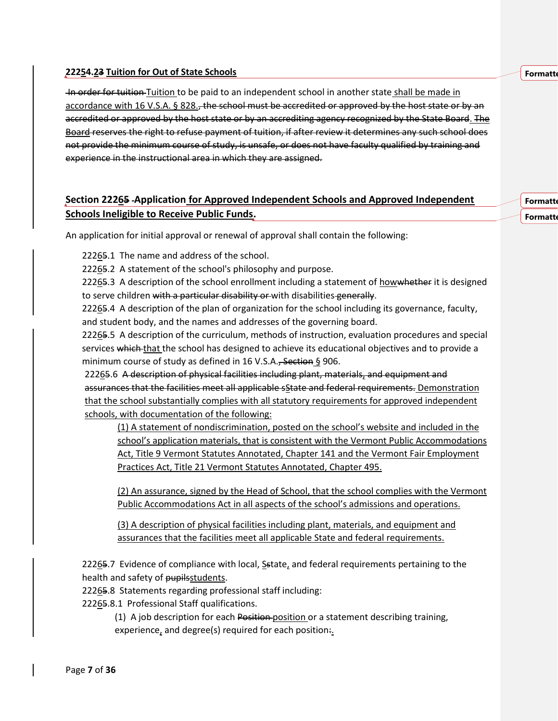#### **Formatt**

**Formatt Formatt** 

#### **22254.23 Tuition for Out of State Schools**

In order for tuition Tuition to be paid to an independent school in another state shall be made in accordance with 16 V.S.A. § 828., the school must be accredited or approved by the host state or by an accredited or approved by the host state or by an accrediting agency recognized by the State Board. The Board reserves the right to refuse payment of tuition, if after review it determines any such school does not provide the minimum course of study, is unsafe, or does not have faculty qualified by training and experience in the instructional area in which they are assigned.

# **Section 22265 Application for Approved Independent Schools and Approved Independent Schools Ineligible to Receive Public Funds.**

An application for initial approval or renewal of approval shall contain the following:

22265.1 The name and address of the school.

22265.2 A statement of the school's philosophy and purpose.

22265.3 A description of the school enrollment including a statement of howwhether it is designed to serve children with a particular disability or with disabilities generally.

22265.4 A description of the plan of organization for the school including its governance, faculty, and student body, and the names and addresses of the governing board.

22265.5 A description of the curriculum, methods of instruction, evaluation procedures and special services which that the school has designed to achieve its educational objectives and to provide a minimum course of study as defined in 16 V.S.A., Section § 906.

22265.6 A description of physical facilities including plant, materials, and equipment and assurances that the facilities meet all applicable sState and federal requirements. Demonstration that the school substantially complies with all statutory requirements for approved independent schools, with documentation of the following:

(1) A statement of nondiscrimination, posted on the school's website and included in the school's application materials, that is consistent with the Vermont Public Accommodations Act, Title 9 Vermont Statutes Annotated, Chapter 141 and the Vermont Fair Employment Practices Act, Title 21 Vermont Statutes Annotated, Chapter 495.

(2) An assurance, signed by the Head of School, that the school complies with the Vermont Public Accommodations Act in all aspects of the school's admissions and operations.

(3) A description of physical facilities including plant, materials, and equipment and assurances that the facilities meet all applicable State and federal requirements.

22265.7 Evidence of compliance with local, Sstate, and federal requirements pertaining to the health and safety of pupilsstudents.

22265.8 Statements regarding professional staff including:

22265.8.1 Professional Staff qualifications.

(1) A job description for each Position position or a statement describing training, experience, and degree(s) required for each position.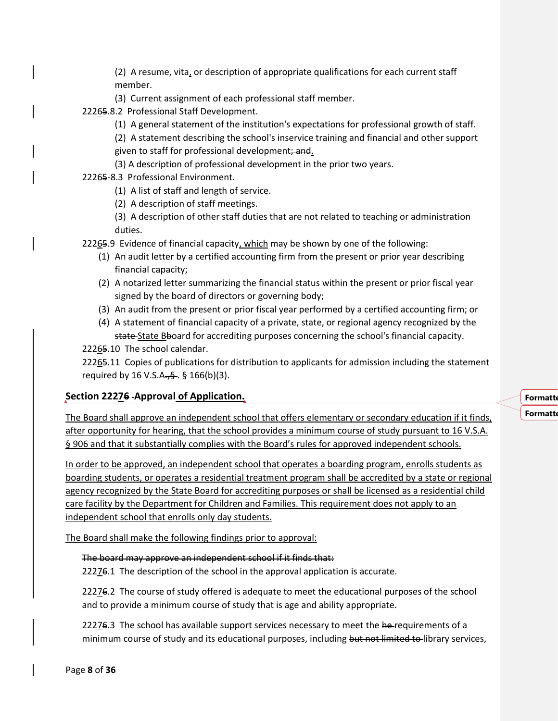(2) A resume, vita, or description of appropriate qualifications for each current staff member.

(3) Current assignment of each professional staff member.

22265.8.2 Professional Staff Development.

(1) A general statement of the institution's expectations for professional growth of staff.

(2) A statement describing the school's inservice training and financial and other support given to staff for professional development; and.

(3) A description of professional development in the prior two years.

22265-8.3 Professional Environment.

(1) A list of staff and length of service.

(2) A description of staff meetings.

(3) A description of other staff duties that are not related to teaching or administration duties.

22265.9 Evidence of financial capacity, which may be shown by one of the following:

- (1) An audit letter by a certified accounting firm from the present or prior year describing financial capacity;
- (2) A notarized letter summarizing the financial status within the present or prior fiscal year signed by the board of directors or governing body;
- (3) An audit from the present or prior fiscal year performed by a certified accounting firm; or
- (4) A statement of financial capacity of a private, state, or regional agency recognized by the state State Bboard for accrediting purposes concerning the school's financial capacity.

22265.10 The school calendar.

22265.11 Copies of publications for distribution to applicants for admission including the statement required by 16 V.S.A.,  $\frac{6}{5}$ .  $\frac{6}{5}$  166(b)(3).

### **Section 22276 Approval of Application.**

The Board shall approve an independent school that offers elementary or secondary education if it finds, after opportunity for hearing, that the school provides a minimum course of study pursuant to 16 V.S.A. § 906 and that it substantially complies with the Board's rules for approved independent schools.

In order to be approved, an independent school that operates a boarding program, enrolls students as boarding students, or operates a residential treatment program shall be accredited by a state or regional agency recognized by the State Board for accrediting purposes or shall be licensed as a residential child care facility by the Department for Children and Families. This requirement does not apply to an independent school that enrolls only day students.

The Board shall make the following findings prior to approval:

### The board may approve an independent school if it finds that:

22276.1 The description of the school in the approval application is accurate.

22276.2 The course of study offered is adequate to meet the educational purposes of the school and to provide a minimum course of study that is age and ability appropriate.

22276.3 The school has available support services necessary to meet the he-requirements of a minimum course of study and its educational purposes, including but not limited to library services,

### **Formatte Formatt**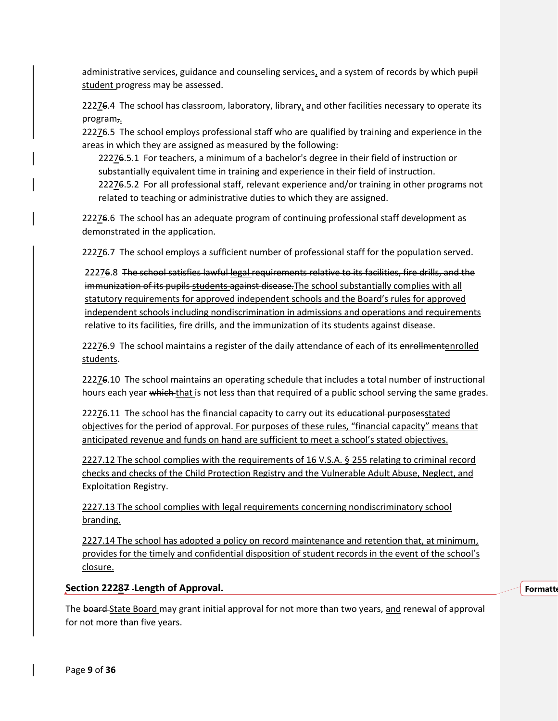administrative services, guidance and counseling services, and a system of records by which pupil student progress may be assessed.

22276.4 The school has classroom, laboratory, library, and other facilities necessary to operate its program,.

22276.5 The school employs professional staff who are qualified by training and experience in the areas in which they are assigned as measured by the following:

22276.5.1 For teachers, a minimum of a bachelor's degree in their field of instruction or substantially equivalent time in training and experience in their field of instruction.

22276.5.2 For all professional staff, relevant experience and/or training in other programs not related to teaching or administrative duties to which they are assigned.

22276.6 The school has an adequate program of continuing professional staff development as demonstrated in the application.

22276.7 The school employs a sufficient number of professional staff for the population served.

22276.8 The school satisfies lawful legal requirements relative to its facilities, fire drills, and the immunization of its pupils students against disease. The school substantially complies with all statutory requirements for approved independent schools and the Board's rules for approved independent schools including nondiscrimination in admissions and operations and requirements relative to its facilities, fire drills, and the immunization of its students against disease.

22276.9 The school maintains a register of the daily attendance of each of its enrollmentenrolled students.

22276.10 The school maintains an operating schedule that includes a total number of instructional hours each year which that is not less than that required of a public school serving the same grades.

22276.11 The school has the financial capacity to carry out its educational purposes stated objectives for the period of approval. For purposes of these rules, "financial capacity" means that anticipated revenue and funds on hand are sufficient to meet a school's stated objectives.

2227.12 The school complies with the requirements of 16 V.S.A. § 255 relating to criminal record checks and checks of the Child Protection Registry and the Vulnerable Adult Abuse, Neglect, and Exploitation Registry.

2227.13 The school complies with legal requirements concerning nondiscriminatory school branding.

2227.14 The school has adopted a policy on record maintenance and retention that, at minimum, provides for the timely and confidential disposition of student records in the event of the school's closure.

**Section 22287 Length of Approval.**

The board State Board may grant initial approval for not more than two years, and renewal of approval for not more than five years.

**Formatt**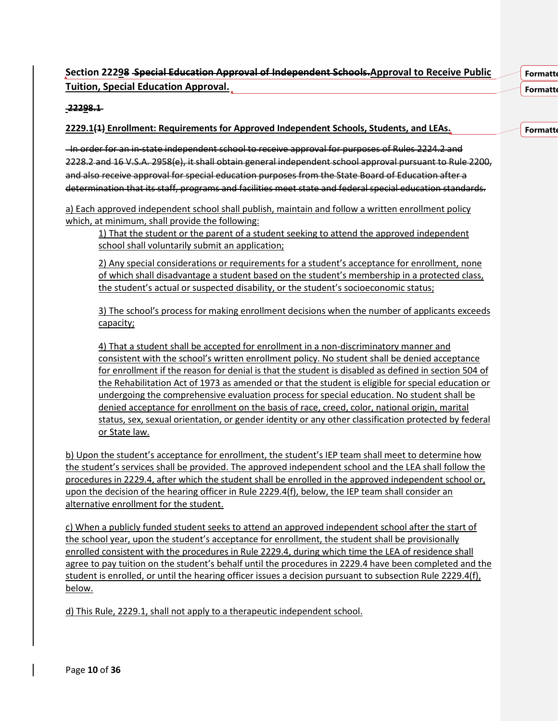# **Section 22298 Special Education Approval of Independent Schools.Approval to Receive Public Tuition, Special Education Approval.**

**Formatt Formatte** 

**Formatte** 

#### **22298.1**

### **2229.1(1) Enrollment: Requirements for Approved Independent Schools, Students, and LEAs.**

In order for an in-state independent school to receive approval for purposes of Rules 2224.2 and 2228.2 and 16 V.S.A. 2958(e), it shall obtain general independent school approval pursuant to Rule 2200, and also receive approval for special education purposes from the State Board of Education after a determination that its staff, programs and facilities meet state and federal special education standards.

a) Each approved independent school shall publish, maintain and follow a written enrollment policy which, at minimum, shall provide the following:

1) That the student or the parent of a student seeking to attend the approved independent school shall voluntarily submit an application;

2) Any special considerations or requirements for a student's acceptance for enrollment, none of which shall disadvantage a student based on the student's membership in a protected class, the student's actual or suspected disability, or the student's socioeconomic status;

3) The school's process for making enrollment decisions when the number of applicants exceeds capacity;

4) That a student shall be accepted for enrollment in a non-discriminatory manner and consistent with the school's written enrollment policy. No student shall be denied acceptance for enrollment if the reason for denial is that the student is disabled as defined in section 504 of the Rehabilitation Act of 1973 as amended or that the student is eligible for special education or undergoing the comprehensive evaluation process for special education. No student shall be denied acceptance for enrollment on the basis of race, creed, color, national origin, marital status, sex, sexual orientation, or gender identity or any other classification protected by federal or State law.

b) Upon the student's acceptance for enrollment, the student's IEP team shall meet to determine how the student's services shall be provided. The approved independent school and the LEA shall follow the procedures in 2229.4, after which the student shall be enrolled in the approved independent school or, upon the decision of the hearing officer in Rule 2229.4(f), below, the IEP team shall consider an alternative enrollment for the student.

c) When a publicly funded student seeks to attend an approved independent school after the start of the school year, upon the student's acceptance for enrollment, the student shall be provisionally enrolled consistent with the procedures in Rule 2229.4, during which time the LEA of residence shall agree to pay tuition on the student's behalf until the procedures in 2229.4 have been completed and the student is enrolled, or until the hearing officer issues a decision pursuant to subsection Rule 2229.4(f), below.

d) This Rule, 2229.1, shall not apply to a therapeutic independent school.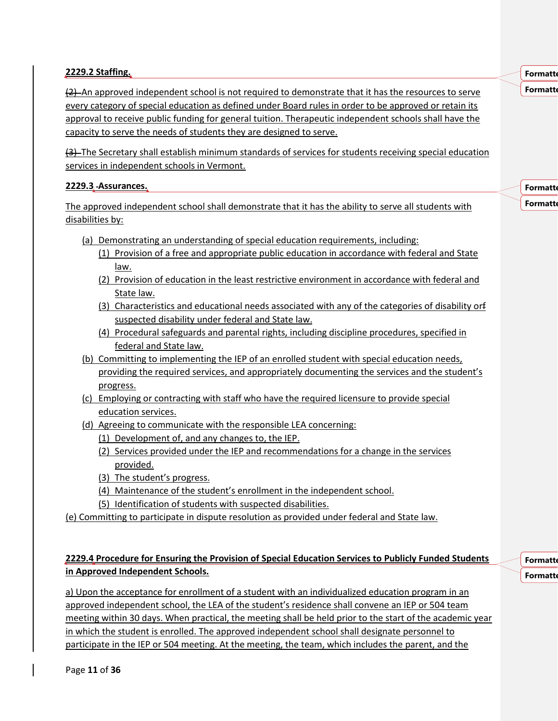### **2229.2 Staffing.**

 $(2)$  An approved independent school is not required to demonstrate that it has the resources to serve every category of special education as defined under Board rules in order to be approved or retain its approval to receive public funding for general tuition. Therapeutic independent schools shall have the capacity to serve the needs of students they are designed to serve.

(3) The Secretary shall establish minimum standards of services for students receiving special education services in independent schools in Vermont.

### **2229.3 Assurances.**

The approved independent school shall demonstrate that it has the ability to serve all students with disabilities by:

- (a) Demonstrating an understanding of special education requirements, including:
	- (1) Provision of a free and appropriate public education in accordance with federal and State law.
	- (2) Provision of education in the least restrictive environment in accordance with federal and State law.
	- (3) Characteristics and educational needs associated with any of the categories of disability orf suspected disability under federal and State law.
	- (4) Procedural safeguards and parental rights, including discipline procedures, specified in federal and State law.
- (b) Committing to implementing the IEP of an enrolled student with special education needs, providing the required services, and appropriately documenting the services and the student's progress.
- (c) Employing or contracting with staff who have the required licensure to provide special education services.
- (d) Agreeing to communicate with the responsible LEA concerning:
	- (1) Development of, and any changes to, the IEP.
	- (2) Services provided under the IEP and recommendations for a change in the services provided.
	- (3) The student's progress.
	- (4) Maintenance of the student's enrollment in the independent school.
	- (5) Identification of students with suspected disabilities.
- (e) Committing to participate in dispute resolution as provided under federal and State law.

## **2229.4 Procedure for Ensuring the Provision of Special Education Services to Publicly Funded Students in Approved Independent Schools.**

a) Upon the acceptance for enrollment of a student with an individualized education program in an approved independent school, the LEA of the student's residence shall convene an IEP or 504 team meeting within 30 days. When practical, the meeting shall be held prior to the start of the academic year in which the student is enrolled. The approved independent school shall designate personnel to participate in the IEP or 504 meeting. At the meeting, the team, which includes the parent, and the

**Formatte** 

**Formatt Formatte** 

**Formatte Formatte** 

**Formatt**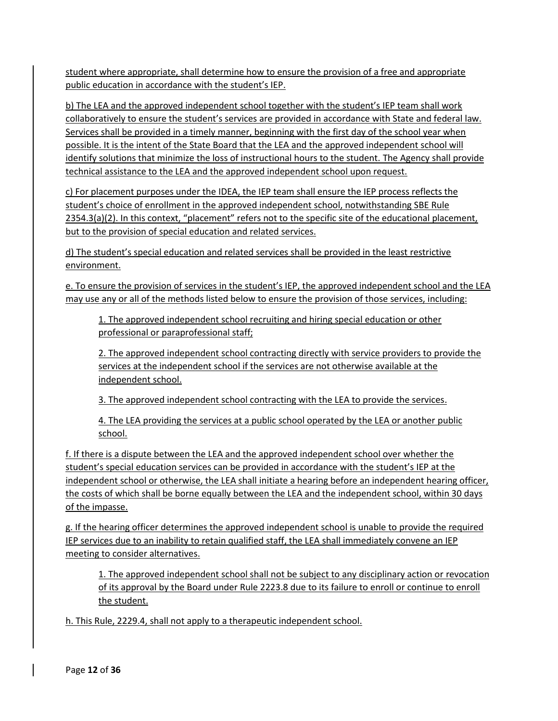student where appropriate, shall determine how to ensure the provision of a free and appropriate public education in accordance with the student's IEP.

b) The LEA and the approved independent school together with the student's IEP team shall work collaboratively to ensure the student's services are provided in accordance with State and federal law. Services shall be provided in a timely manner, beginning with the first day of the school year when possible. It is the intent of the State Board that the LEA and the approved independent school will identify solutions that minimize the loss of instructional hours to the student. The Agency shall provide technical assistance to the LEA and the approved independent school upon request.

c) For placement purposes under the IDEA, the IEP team shall ensure the IEP process reflects the student's choice of enrollment in the approved independent school, notwithstanding SBE Rule 2354.3(a)(2). In this context, "placement" refers not to the specific site of the educational placement, but to the provision of special education and related services.

d) The student's special education and related services shall be provided in the least restrictive environment.

e. To ensure the provision of services in the student's IEP, the approved independent school and the LEA may use any or all of the methods listed below to ensure the provision of those services, including:

1. The approved independent school recruiting and hiring special education or other professional or paraprofessional staff;

2. The approved independent school contracting directly with service providers to provide the services at the independent school if the services are not otherwise available at the independent school.

3. The approved independent school contracting with the LEA to provide the services.

4. The LEA providing the services at a public school operated by the LEA or another public school.

f. If there is a dispute between the LEA and the approved independent school over whether the student's special education services can be provided in accordance with the student's IEP at the independent school or otherwise, the LEA shall initiate a hearing before an independent hearing officer, the costs of which shall be borne equally between the LEA and the independent school, within 30 days of the impasse.

g. If the hearing officer determines the approved independent school is unable to provide the required IEP services due to an inability to retain qualified staff, the LEA shall immediately convene an IEP meeting to consider alternatives.

1. The approved independent school shall not be subject to any disciplinary action or revocation of its approval by the Board under Rule 2223.8 due to its failure to enroll or continue to enroll the student.

h. This Rule, 2229.4, shall not apply to a therapeutic independent school.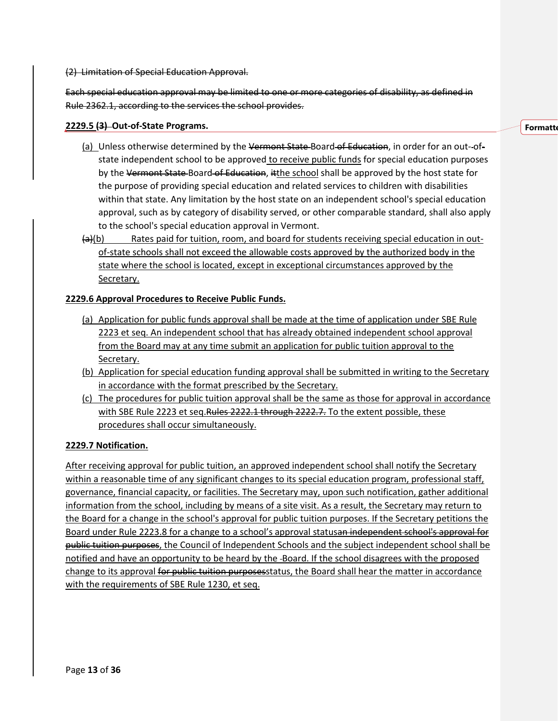(2) Limitation of Special Education Approval.

Each special education approval may be limited to one or more categories of disability, as defined in Rule 2362.1, according to the services the school provides.

### **2229.5 (3) Out-of-State Programs.**

- (a) Unless otherwise determined by the Vermont State-Board-of Education, in order for an out-ofstate independent school to be approved to receive public funds for special education purposes by the Vermont State-Board of Education, itthe school shall be approved by the host state for the purpose of providing special education and related services to children with disabilities within that state. Any limitation by the host state on an independent school's special education approval, such as by category of disability served, or other comparable standard, shall also apply to the school's special education approval in Vermont.
- $(a)(b)$  Rates paid for tuition, room, and board for students receiving special education in outof-state schools shall not exceed the allowable costs approved by the authorized body in the state where the school is located, except in exceptional circumstances approved by the Secretary.

### **2229.6 Approval Procedures to Receive Public Funds.**

- (a) Application for public funds approval shall be made at the time of application under SBE Rule 2223 et seq. An independent school that has already obtained independent school approval from the Board may at any time submit an application for public tuition approval to the Secretary.
- (b) Application for special education funding approval shall be submitted in writing to the Secretary in accordance with the format prescribed by the Secretary.
- (c) The procedures for public tuition approval shall be the same as those for approval in accordance with SBE Rule 2223 et seq. Rules 2222.1 through 2222.7. To the extent possible, these procedures shall occur simultaneously.

### **2229.7 Notification.**

After receiving approval for public tuition, an approved independent school shall notify the Secretary within a reasonable time of any significant changes to its special education program, professional staff, governance, financial capacity, or facilities. The Secretary may, upon such notification, gather additional information from the school, including by means of a site visit. As a result, the Secretary may return to the Board for a change in the school's approval for public tuition purposes. If the Secretary petitions the Board under Rule 2223.8 for a change to a school's approval statusan independent school's approval for public tuition purposes, the Council of Independent Schools and the subject independent school shall be notified and have an opportunity to be heard by the -Board. If the school disagrees with the proposed change to its approval for public tuition purposesstatus, the Board shall hear the matter in accordance with the requirements of SBE Rule 1230, et seq.

#### **Formatte**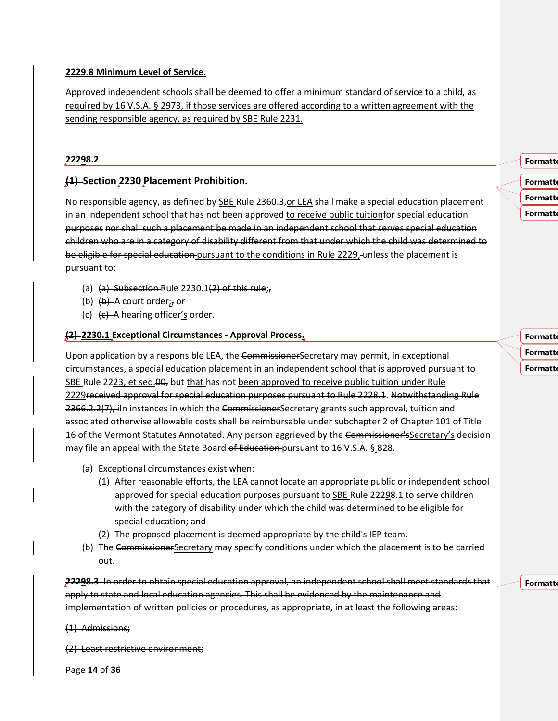### **2229.8 Minimum Level of Service.**

Approved independent schools shall be deemed to offer a minimum standard of service to a child, as required by 16 V.S.A. § 2973, if those services are offered according to a written agreement with the sending responsible agency, as required by SBE Rule 2231.

### **22298.2**

### **(1) Section 2230 Placement Prohibition.**

No responsible agency, as defined by SBE Rule 2360.3,or LEA shall make a special education placement in an independent school that has not been approved to receive public tuitionfor special education purposes nor shall such a placement be made in an independent school that serves special education children who are in a category of disability different from that under which the child was determined to be eligible for special education pursuant to the conditions in Rule 2229, unless the placement is pursuant to:

- (a)  $(a)$  Subsection Rule 2230.1(2) of this rule;
- (b)  $(b)$   $(b)$  A court order;, or
- (c)  $(e)$  A hearing officer's order.

### **(2) 2230.1 Exceptional Circumstances - Approval Process.**

Upon application by a responsible LEA, the CommissionerSecretary may permit, in exceptional circumstances, a special education placement in an independent school that is approved pursuant to SBE Rule 2223, et seq.  $\theta$ , but that has not been approved to receive public tuition under Rule 2229received approval for special education purposes pursuant to Rule 2228.1. Notwithstanding Rule 2366.2.2(7), iln instances in which the CommissionerSecretary grants such approval, tuition and associated otherwise allowable costs shall be reimbursable under subchapter 2 of Chapter 101 of Title 16 of the Vermont Statutes Annotated. Any person aggrieved by the Commissioner's Secretary's decision may file an appeal with the State Board of Education pursuant to 16 V.S.A. § 828.

- (a) Exceptional circumstances exist when:
	- (1) After reasonable efforts, the LEA cannot locate an appropriate public or independent school approved for special education purposes pursuant to SBE Rule 22298.4 to serve children with the category of disability under which the child was determined to be eligible for special education; and
	- (2) The proposed placement is deemed appropriate by the child's IEP team.
- (b) The CommissionerSecretary may specify conditions under which the placement is to be carried out.

**22298.3** In order to obtain special education approval, an independent school shall meet standards that apply to state and local education agencies. This shall be evidenced by the maintenance and implementation of written policies or procedures, as appropriate, in at least the following areas:

(1) Admissions;

(2) Least restrictive environment;

Page **14** of **36**

**Formatt** 

**Formatt Formatt** 

**Formatt** 

**Formatt Formatt Formatte** 

**Formatte**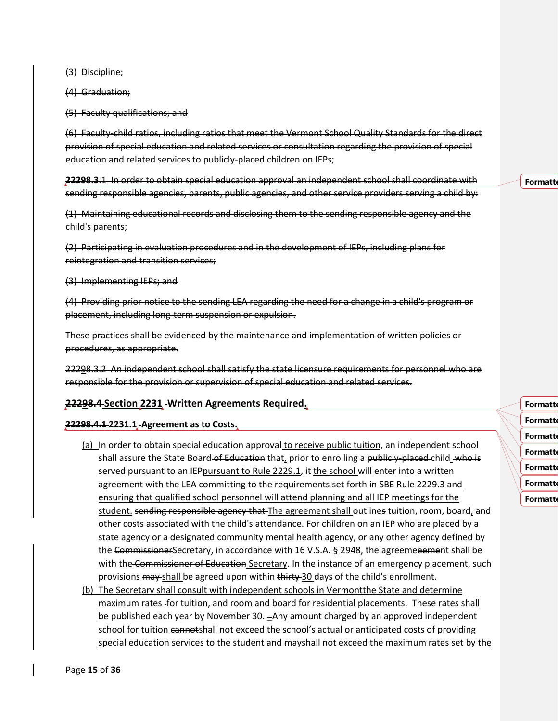(3) Discipline;

(4) Graduation;

(5) Faculty qualifications; and

(6) Faculty-child ratios, including ratios that meet the Vermont School Quality Standards for the direct provision of special education and related services or consultation regarding the provision of special education and related services to publicly-placed children on IEPs;

**22298.3**.1 In order to obtain special education approval an independent school shall coordinate with sending responsible agencies, parents, public agencies, and other service providers serving a child by:

(1) Maintaining educational records and disclosing them to the sending responsible agency and the child's parents;

(2) Participating in evaluation procedures and in the development of IEPs, including plans for reintegration and transition services;

(3) Implementing IEPs; and

(4) Providing prior notice to the sending LEA regarding the need for a change in a child's program or placement, including long-term suspension or expulsion.

These practices shall be evidenced by the maintenance and implementation of written policies or procedures, as appropriate.

22298.3.2 An independent school shall satisfy the state licensure requirements for personnel who are responsible for the provision or supervision of special education and related services.

#### **22298.4 Section 2231 Written Agreements Required.**

#### **22298.4.1 2231.1 Agreement as to Costs.**

- (a) In order to obtain special education approval to receive public tuition, an independent school shall assure the State Board of Education that, prior to enrolling a publicly-placed child who is served pursuant to an IEPpursuant to Rule 2229.1, it the school will enter into a written agreement with the LEA committing to the requirements set forth in SBE Rule 2229.3 and ensuring that qualified school personnel will attend planning and all IEP meetings for the student. sending responsible agency that The agreement shall outlines tuition, room, board, and other costs associated with the child's attendance. For children on an IEP who are placed by a state agency or a designated community mental health agency, or any other agency defined by the CommissionerSecretary, in accordance with 16 V.S.A. § 2948, the agreemeeement shall be with the Commissioner of Education Secretary. In the instance of an emergency placement, such provisions may shall be agreed upon within thirty 30 days of the child's enrollment.
- (b) The Secretary shall consult with independent schools in Vermont the State and determine maximum rates for tuition, and room and board for residential placements. These rates shall be published each year by November 30. - Any amount charged by an approved independent school for tuition cannotshall not exceed the school's actual or anticipated costs of providing special education services to the student and mayshall not exceed the maximum rates set by the

**Formatt Formatt Formatt Formatt** 

**Formatt** 

- **Formatte**
- **Formatte**
- **Formatt**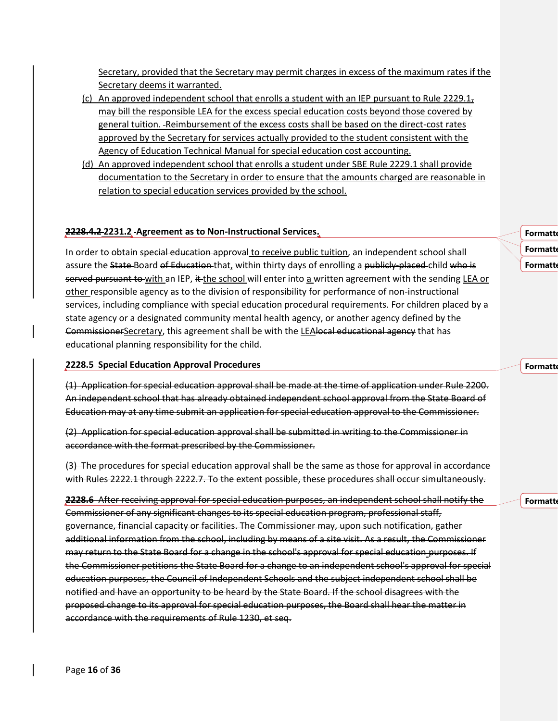Secretary, provided that the Secretary may permit charges in excess of the maximum rates if the Secretary deems it warranted.

- (c) An approved independent school that enrolls a student with an IEP pursuant to Rule 2229.1, may bill the responsible LEA for the excess special education costs beyond those covered by general tuition. Reimbursement of the excess costs shall be based on the direct-cost rates approved by the Secretary for services actually provided to the student consistent with the Agency of Education Technical Manual for special education cost accounting.
- (d) An approved independent school that enrolls a student under SBE Rule 2229.1 shall provide documentation to the Secretary in order to ensure that the amounts charged are reasonable in relation to special education services provided by the school.

#### **2228.4.2 2231.2 Agreement as to Non-Instructional Services.**

In order to obtain special education approval to receive public tuition, an independent school shall assure the State-Board of Education-that, within thirty days of enrolling a publicly-placed-child who is served pursuant to with an IEP, it the school will enter into a written agreement with the sending LEA or other responsible agency as to the division of responsibility for performance of non-instructional services, including compliance with special education procedural requirements. For children placed by a state agency or a designated community mental health agency, or another agency defined by the CommissionerSecretary, this agreement shall be with the LEAlocal educational agency that has educational planning responsibility for the child.

#### **2228.5 Special Education Approval Procedures**

(1) Application for special education approval shall be made at the time of application under Rule 2200. An independent school that has already obtained independent school approval from the State Board of Education may at any time submit an application for special education approval to the Commissioner.

(2) Application for special education approval shall be submitted in writing to the Commissioner in accordance with the format prescribed by the Commissioner.

(3) The procedures for special education approval shall be the same as those for approval in accordance with Rules 2222.1 through 2222.7. To the extent possible, these procedures shall occur simultaneously.

**2228.6** After receiving approval for special education purposes, an independent school shall notify the Commissioner of any significant changes to its special education program, professional staff, governance, financial capacity or facilities. The Commissioner may, upon such notification, gather additional information from the school, including by means of a site visit. As a result, the Commissioner may return to the State Board for a change in the school's approval for special education purposes. If the Commissioner petitions the State Board for a change to an independent school's approval for special education purposes, the Council of Independent Schools and the subject independent school shall be notified and have an opportunity to be heard by the State Board. If the school disagrees with the proposed change to its approval for special education purposes, the Board shall hear the matter in accordance with the requirements of Rule 1230, et seq.

**Formatte Formatt Formatte** 

**Formatt** 

**Formatte**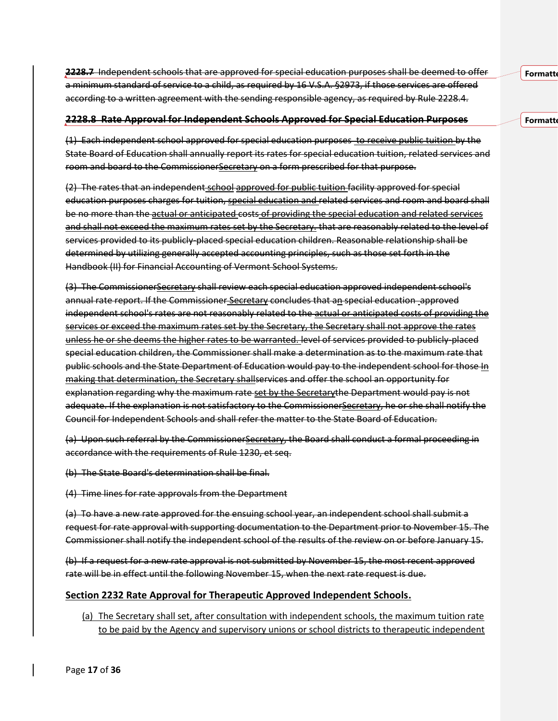**2228.7** Independent schools that are approved for special education purposes shall be deemed to offer a minimum standard of service to a child, as required by 16 V.S.A. §2973, if those services are offered according to a written agreement with the sending responsible agency, as required by Rule 2228.4.

#### **2228.8 Rate Approval for Independent Schools Approved for Special Education Purposes**

(1) Each independent school approved for special education purposes to receive public tuition by the State Board of Education shall annually report its rates for special education tuition, related services and room and board to the CommissionerSecretary on a form prescribed for that purpose.

(2) The rates that an independent school approved for public tuition facility approved for special education purposes charges for tuition, special education and related services and room and board shall be no more than the actual or anticipated costs of providing the special education and related services and shall not exceed the maximum rates set by the Secretary. that are reasonably related to the level of services provided to its publicly-placed special education children. Reasonable relationship shall be determined by utilizing generally accepted accounting principles, such as those set forth in the Handbook (II) for Financial Accounting of Vermont School Systems.

(3) The CommissionerSecretary shall review each special education approved independent school's annual rate report. If the Commissioner Secretary concludes that an special education approved independent school's rates are not reasonably related to the actual or anticipated costs of providing the services or exceed the maximum rates set by the Secretary, the Secretary shall not approve the rates unless he or she deems the higher rates to be warranted. level of services provided to publicly-placed special education children, the Commissioner shall make a determination as to the maximum rate that public schools and the State Department of Education would pay to the independent school for those In making that determination, the Secretary shallservices and offer the school an opportunity for explanation regarding why the maximum rate set by the Secretarythe Department would pay is not adequate. If the explanation is not satisfactory to the CommissionerSecretary, he or she shall notify the Council for Independent Schools and shall refer the matter to the State Board of Education.

(a) Upon such referral by the Commissioner Secretary, the Board shall conduct a formal proceeding in accordance with the requirements of Rule 1230, et seq.

(b) The State Board's determination shall be final.

(4) Time lines for rate approvals from the Department

(a) To have a new rate approved for the ensuing school year, an independent school shall submit a request for rate approval with supporting documentation to the Department prior to November 15. The Commissioner shall notify the independent school of the results of the review on or before January 15.

(b) If a request for a new rate approval is not submitted by November 15, the most recent approved rate will be in effect until the following November 15, when the next rate request is due.

### **Section 2232 Rate Approval for Therapeutic Approved Independent Schools.**

(a) The Secretary shall set, after consultation with independent schools, the maximum tuition rate to be paid by the Agency and supervisory unions or school districts to therapeutic independent **Formatt** 

**Formatt**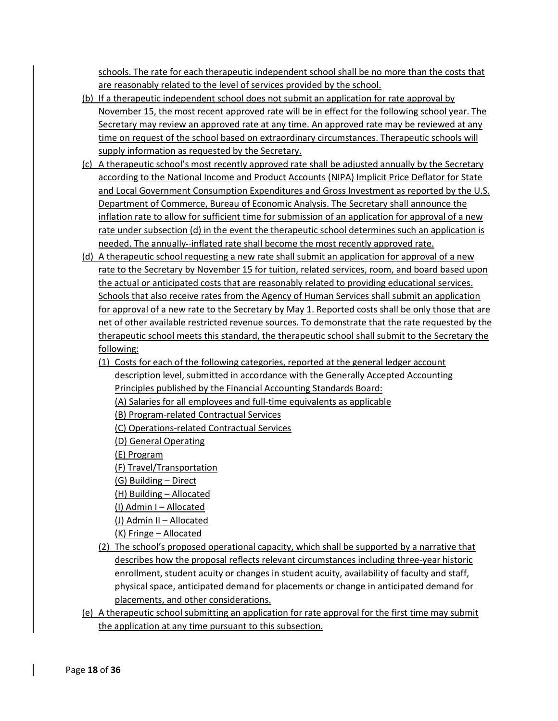schools. The rate for each therapeutic independent school shall be no more than the costs that are reasonably related to the level of services provided by the school.

- (b) If a therapeutic independent school does not submit an application for rate approval by November 15, the most recent approved rate will be in effect for the following school year. The Secretary may review an approved rate at any time. An approved rate may be reviewed at any time on request of the school based on extraordinary circumstances. Therapeutic schools will supply information as requested by the Secretary.
- (c) A therapeutic school's most recently approved rate shall be adjusted annually by the Secretary according to the National Income and Product Accounts (NIPA) Implicit Price Deflator for State and Local Government Consumption Expenditures and Gross Investment as reported by the U.S. Department of Commerce, Bureau of Economic Analysis. The Secretary shall announce the inflation rate to allow for sufficient time for submission of an application for approval of a new rate under subsection (d) in the event the therapeutic school determines such an application is needed. The annually -inflated rate shall become the most recently approved rate.
- (d) A therapeutic school requesting a new rate shall submit an application for approval of a new rate to the Secretary by November 15 for tuition, related services, room, and board based upon the actual or anticipated costs that are reasonably related to providing educational services. Schools that also receive rates from the Agency of Human Services shall submit an application for approval of a new rate to the Secretary by May 1. Reported costs shall be only those that are net of other available restricted revenue sources. To demonstrate that the rate requested by the therapeutic school meets this standard, the therapeutic school shall submit to the Secretary the following:
	- (1) Costs for each of the following categories, reported at the general ledger account description level, submitted in accordance with the Generally Accepted Accounting Principles published by the Financial Accounting Standards Board:
		- (A) Salaries for all employees and full-time equivalents as applicable
		- (B) Program-related Contractual Services
		- (C) Operations-related Contractual Services
		- (D) General Operating
		- (E) Program
		- (F) Travel/Transportation
		- (G) Building Direct
		- (H) Building Allocated
		- (I) Admin I Allocated
		- (J) Admin II Allocated
		- (K) Fringe Allocated
	- (2) The school's proposed operational capacity, which shall be supported by a narrative that describes how the proposal reflects relevant circumstances including three-year historic enrollment, student acuity or changes in student acuity, availability of faculty and staff, physical space, anticipated demand for placements or change in anticipated demand for placements, and other considerations.
- (e) A therapeutic school submitting an application for rate approval for the first time may submit the application at any time pursuant to this subsection.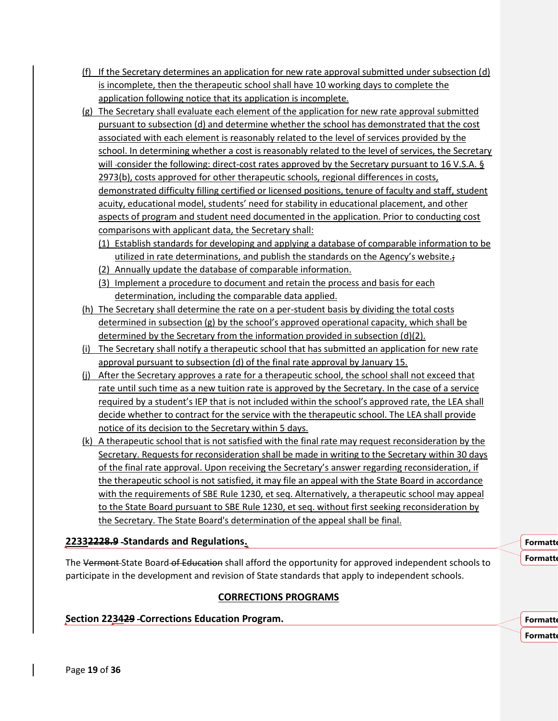- (f) If the Secretary determines an application for new rate approval submitted under subsection (d) is incomplete, then the therapeutic school shall have 10 working days to complete the application following notice that its application is incomplete.
- (g) The Secretary shall evaluate each element of the application for new rate approval submitted pursuant to subsection (d) and determine whether the school has demonstrated that the cost associated with each element is reasonably related to the level of services provided by the school. In determining whether a cost is reasonably related to the level of services, the Secretary will -consider the following: direct-cost rates approved by the Secretary pursuant to 16 V.S.A. § 2973(b), costs approved for other therapeutic schools, regional differences in costs, demonstrated difficulty filling certified or licensed positions, tenure of faculty and staff, student acuity, educational model, students' need for stability in educational placement, and other aspects of program and student need documented in the application. Prior to conducting cost comparisons with applicant data, the Secretary shall:
	- (1) Establish standards for developing and applying a database of comparable information to be utilized in rate determinations, and publish the standards on the Agency's website.;
	- (2) Annually update the database of comparable information.
	- (3) Implement a procedure to document and retain the process and basis for each determination, including the comparable data applied.
- (h) The Secretary shall determine the rate on a per-student basis by dividing the total costs determined in subsection (g) by the school's approved operational capacity, which shall be determined by the Secretary from the information provided in subsection (d)(2).
- (i) The Secretary shall notify a therapeutic school that has submitted an application for new rate approval pursuant to subsection (d) of the final rate approval by January 15.
- (j) After the Secretary approves a rate for a therapeutic school, the school shall not exceed that rate until such time as a new tuition rate is approved by the Secretary. In the case of a service required by a student's IEP that is not included within the school's approved rate, the LEA shall decide whether to contract for the service with the therapeutic school. The LEA shall provide notice of its decision to the Secretary within 5 days.
- (k) A therapeutic school that is not satisfied with the final rate may request reconsideration by the Secretary. Requests for reconsideration shall be made in writing to the Secretary within 30 days of the final rate approval. Upon receiving the Secretary's answer regarding reconsideration, if the therapeutic school is not satisfied, it may file an appeal with the State Board in accordance with the requirements of SBE Rule 1230, et seq. Alternatively, a therapeutic school may appeal to the State Board pursuant to SBE Rule 1230, et seq. without first seeking reconsideration by the Secretary. The State Board's determination of the appeal shall be final.

# **22332228.9 Standards and Regulations.**

The Vermont-State Board of Education shall afford the opportunity for approved independent schools to participate in the development and revision of State standards that apply to independent schools.

# **CORRECTIONS PROGRAMS**

# **Section 223429 Corrections Education Program.**

**Formatt Formatte** 

**Formatte Formatt**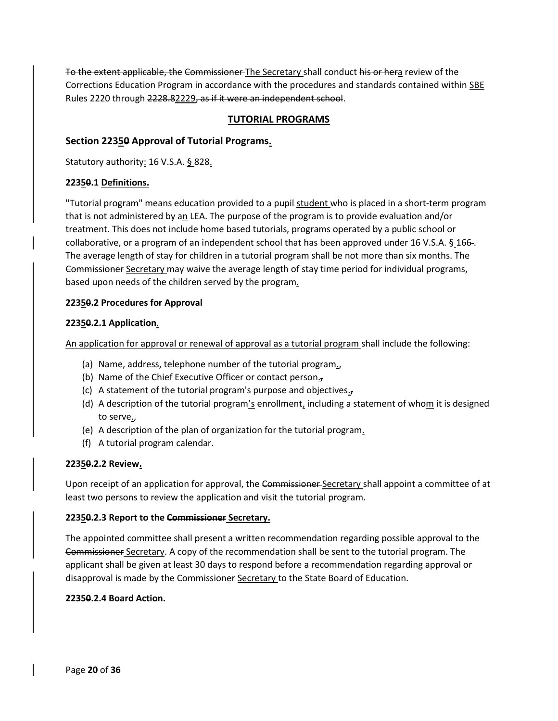To the extent applicable, the Commissioner The Secretary shall conduct his or hera review of the Corrections Education Program in accordance with the procedures and standards contained within SBE Rules 2220 through 2228.82229, as if it were an independent school.

### **TUTORIAL PROGRAMS**

### **Section 22350 Approval of Tutorial Programs.**

Statutory authority: 16 V.S.A. § 828.

### **22350.1 Definitions.**

"Tutorial program" means education provided to a pupil-student who is placed in a short-term program that is not administered by an LEA. The purpose of the program is to provide evaluation and/or treatment. This does not include home based tutorials, programs operated by a public school or collaborative, or a program of an independent school that has been approved under 16 V.S.A. § 166 . The average length of stay for children in a tutorial program shall be not more than six months. The Commissioner Secretary may waive the average length of stay time period for individual programs, based upon needs of the children served by the program.

### **22350.2 Procedures for Approval**

### **22350.2.1 Application**.

An application for approval or renewal of approval as a tutorial program shall include the following:

- (a) Name, address, telephone number of the tutorial program $<sub>5</sub>$ </sub>
- (b) Name of the Chief Executive Officer or contact person.
- (c) A statement of the tutorial program's purpose and objectives $_5$
- (d) A description of the tutorial program's enrollment, including a statement of whom it is designed to serve.,
- (e) A description of the plan of organization for the tutorial program.
- (f) A tutorial program calendar.

### **22350.2.2 Review.**

Upon receipt of an application for approval, the Commissioner Secretary shall appoint a committee of at least two persons to review the application and visit the tutorial program.

### **22350.2.3 Report to the Commissioner Secretary.**

The appointed committee shall present a written recommendation regarding possible approval to the Commissioner Secretary. A copy of the recommendation shall be sent to the tutorial program. The applicant shall be given at least 30 days to respond before a recommendation regarding approval or disapproval is made by the Commissioner Secretary to the State Board of Education.

### **22350.2.4 Board Action.**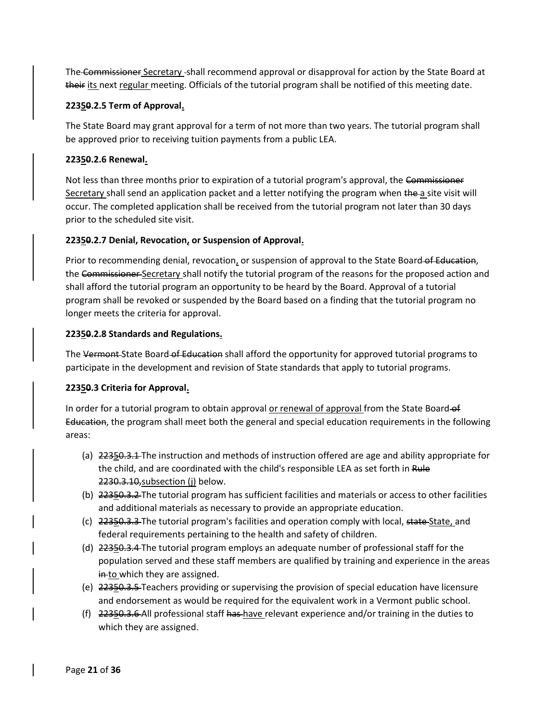The Commissioner Secretary -shall recommend approval or disapproval for action by the State Board at their its next regular meeting. Officials of the tutorial program shall be notified of this meeting date.

### **22350.2.5 Term of Approval.**

The State Board may grant approval for a term of not more than two years. The tutorial program shall be approved prior to receiving tuition payments from a public LEA.

### **22350.2.6 Renewal.**

Not less than three months prior to expiration of a tutorial program's approval, the Commissioner Secretary shall send an application packet and a letter notifying the program when the a site visit will occur. The completed application shall be received from the tutorial program not later than 30 days prior to the scheduled site visit.

### **22350.2.7 Denial, Revocation, or Suspension of Approval.**

Prior to recommending denial, revocation, or suspension of approval to the State Board of Education, the Commissioner Secretary shall notify the tutorial program of the reasons for the proposed action and shall afford the tutorial program an opportunity to be heard by the Board. Approval of a tutorial program shall be revoked or suspended by the Board based on a finding that the tutorial program no longer meets the criteria for approval.

### **22350.2.8 Standards and Regulations.**

The Vermont State Board of Education shall afford the opportunity for approved tutorial programs to participate in the development and revision of State standards that apply to tutorial programs.

### **22350.3 Criteria for Approval.**

In order for a tutorial program to obtain approval or renewal of approval from the State Board-of Education, the program shall meet both the general and special education requirements in the following areas:

- (a) 22350.3.1 The instruction and methods of instruction offered are age and ability appropriate for the child, and are coordinated with the child's responsible LEA as set forth in Rule 2230.3.10, subsection (j) below.
- (b) 22350.3.2 The tutorial program has sufficient facilities and materials or access to other facilities and additional materials as necessary to provide an appropriate education.
- (c) 22350.3.3 The tutorial program's facilities and operation comply with local, state State, and federal requirements pertaining to the health and safety of children.
- (d) 22350.3.4 The tutorial program employs an adequate number of professional staff for the population served and these staff members are qualified by training and experience in the areas in to which they are assigned.
- (e) 22350.3.5 Teachers providing or supervising the provision of special education have licensure and endorsement as would be required for the equivalent work in a Vermont public school.
- (f) 22350.3.6 All professional staff has have relevant experience and/or training in the duties to which they are assigned.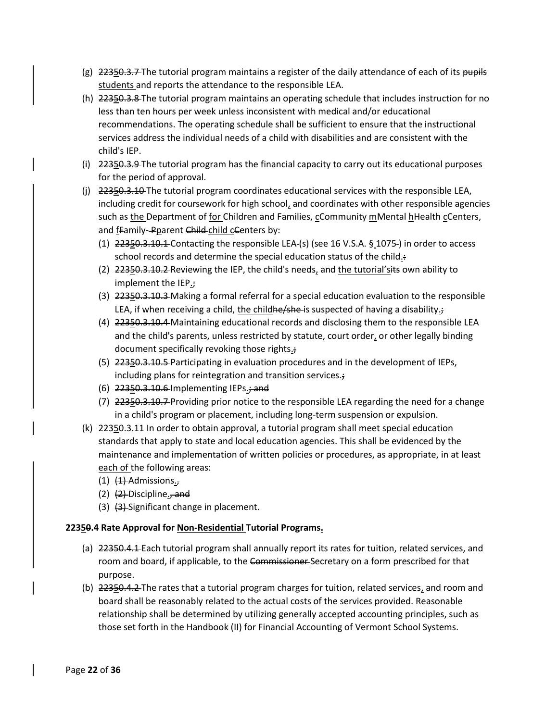- (g)  $22350.3.7$  The tutorial program maintains a register of the daily attendance of each of its pupils students and reports the attendance to the responsible LEA.
- (h) 22350.3.8 The tutorial program maintains an operating schedule that includes instruction for no less than ten hours per week unless inconsistent with medical and/or educational recommendations. The operating schedule shall be sufficient to ensure that the instructional services address the individual needs of a child with disabilities and are consistent with the child's IEP.
- (i) 22350.3.9 The tutorial program has the financial capacity to carry out its educational purposes for the period of approval.
- (j) 22350.3.10 The tutorial program coordinates educational services with the responsible LEA, including credit for coursework for high school, and coordinates with other responsible agencies such as the Department of for Children and Families, cCommunity mMental hHealth cCenters, and *fFamily-Pparent Child-child cCenters by:* 
	- (1) 22350.3.10.1 Contacting the responsible LEA-(s) (see 16 V.S.A. § 1075-) in order to access school records and determine the special education status of the child.:
	- (2) 22350.3.10.2 Reviewing the IEP, the child's needs, and the tutorial'sits own ability to implement the IEP.;
	- (3) 22350.3.10.3 Making a formal referral for a special education evaluation to the responsible LEA, if when receiving a child, the child  $he/s$  he is suspected of having a disability.;
	- (4) 22350.3.10.4 Maintaining educational records and disclosing them to the responsible LEA and the child's parents, unless restricted by statute, court order, or other legally binding document specifically revoking those rights.;
	- (5) 22350.3.10.5 Participating in evaluation procedures and in the development of IEPs, including plans for reintegration and transition services.;
	- (6) 22350.3.10.6 Implementing IEPs.; and
	- (7) 22350.3.10.7 Providing prior notice to the responsible LEA regarding the need for a change in a child's program or placement, including long-term suspension or expulsion.
- (k) 22350.3.11 In order to obtain approval, a tutorial program shall meet special education standards that apply to state and local education agencies. This shall be evidenced by the maintenance and implementation of written policies or procedures, as appropriate, in at least each of the following areas:
	- $(1)$   $(1)$  Admissions.,
	- (2)  $(2)$  Discipline., and
	- $(3)$   $(3)$ . Significant change in placement.

### **22350.4 Rate Approval for Non-Residential Tutorial Programs.**

- (a) 22350.4.1 Each tutorial program shall annually report its rates for tuition, related services, and room and board, if applicable, to the Commissioner-Secretary on a form prescribed for that purpose.
- (b) 22350.4.2 The rates that a tutorial program charges for tuition, related services, and room and board shall be reasonably related to the actual costs of the services provided. Reasonable relationship shall be determined by utilizing generally accepted accounting principles, such as those set forth in the Handbook (II) for Financial Accounting of Vermont School Systems.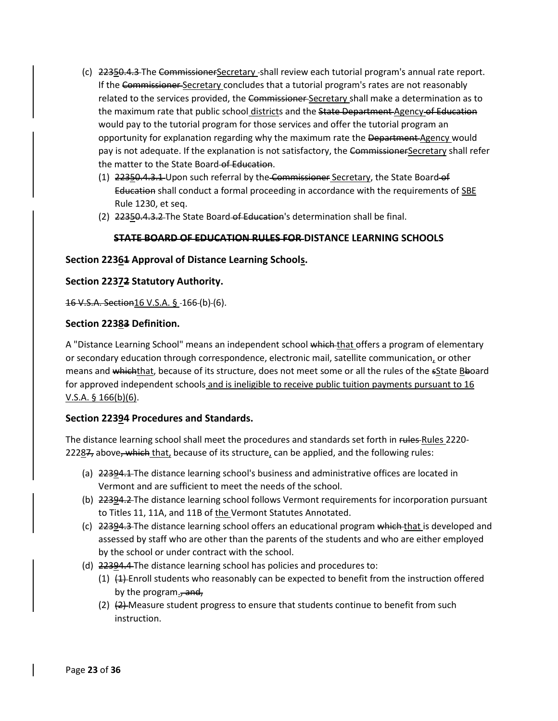- (c) 22350.4.3 The CommissionerSecretary shall review each tutorial program's annual rate report. If the Commissioner-Secretary concludes that a tutorial program's rates are not reasonably related to the services provided, the Commissioner-Secretary shall make a determination as to the maximum rate that public school districts and the State Department Agency of Education would pay to the tutorial program for those services and offer the tutorial program an opportunity for explanation regarding why the maximum rate the <del>Department</del> Agency would pay is not adequate. If the explanation is not satisfactory, the CommissionerSecretary shall refer the matter to the State Board of Education.
	- (1) 22350.4.3.1 Upon such referral by the Commissioner Secretary, the State Board of Education shall conduct a formal proceeding in accordance with the requirements of SBE Rule 1230, et seq.
	- (2) 22350.4.3.2 The State Board of Education's determination shall be final.

### **STATE BOARD OF EDUCATION RULES FOR DISTANCE LEARNING SCHOOLS**

### **Section 22361 Approval of Distance Learning Schools.**

### **Section 22372 Statutory Authority.**

16 V.S.A. Section16 V.S.A. § 166 (b) (6).

### **Section 22383 Definition.**

A "Distance Learning School" means an independent school which that offers a program of elementary or secondary education through correspondence, electronic mail, satellite communication, or other means and whichthat, because of its structure, does not meet some or all the rules of the sState Bboard for approved independent schools and is ineligible to receive public tuition payments pursuant to 16 V.S.A. § 166(b)(6).

### **Section 22394 Procedures and Standards.**

The distance learning school shall meet the procedures and standards set forth in rules-Rules 2220-22287, above, which that, because of its structure, can be applied, and the following rules:

- (a) 22394.1 The distance learning school's business and administrative offices are located in Vermont and are sufficient to meet the needs of the school.
- (b) 22394.2 The distance learning school follows Vermont requirements for incorporation pursuant to Titles 11, 11A, and 11B of the Vermont Statutes Annotated.
- (c) 22394.3 The distance learning school offers an educational program which that is developed and assessed by staff who are other than the parents of the students and who are either employed by the school or under contract with the school.
- (d) 22394.4 The distance learning school has policies and procedures to:
	- $(1)$   $(1)$  Enroll students who reasonably can be expected to benefit from the instruction offered by the program., and,
	- (2)  $(2)$  Measure student progress to ensure that students continue to benefit from such instruction.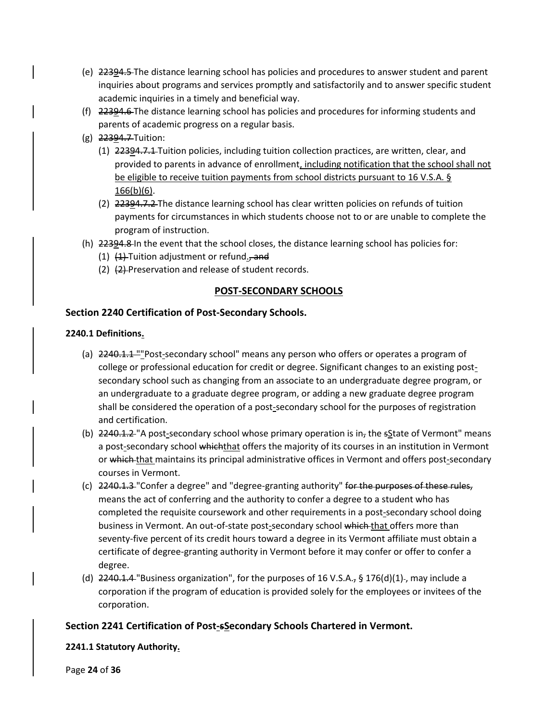- (e) 22394.5 The distance learning school has policies and procedures to answer student and parent inquiries about programs and services promptly and satisfactorily and to answer specific student academic inquiries in a timely and beneficial way.
- (f) 22394.6 The distance learning school has policies and procedures for informing students and parents of academic progress on a regular basis.
- (g) 22394.7 Tuition:
	- (1) 22394.7.1 Tuition policies, including tuition collection practices, are written, clear, and provided to parents in advance of enrollment, including notification that the school shall not be eligible to receive tuition payments from school districts pursuant to 16 V.S.A. § 166(b)(6).
	- (2) 22394.7.2 The distance learning school has clear written policies on refunds of tuition payments for circumstances in which students choose not to or are unable to complete the program of instruction.
- (h) 22394.8 In the event that the school closes, the distance learning school has policies for:
	- (1)  $(1)$  Tuition adjustment or refund., and
	- (2)  $(2)$  Preservation and release of student records.

### **POST-SECONDARY SCHOOLS**

### **Section 2240 Certification of Post-Secondary Schools.**

#### **2240.1 Definitions.**

- (a) 2240.1.1 ""Post-secondary school" means any person who offers or operates a program of college or professional education for credit or degree. Significant changes to an existing postsecondary school such as changing from an associate to an undergraduate degree program, or an undergraduate to a graduate degree program, or adding a new graduate degree program shall be considered the operation of a post-secondary school for the purposes of registration and certification.
- (b)  $2240.1.2$  A post-secondary school whose primary operation is in<sub>r</sub> the sState of Vermont" means a post-secondary school which that offers the majority of its courses in an institution in Vermont or which that maintains its principal administrative offices in Vermont and offers post-secondary courses in Vermont.
- (c)  $2240.1.3$  "Confer a degree" and "degree-granting authority" for the purposes of these rules, means the act of conferring and the authority to confer a degree to a student who has completed the requisite coursework and other requirements in a post-secondary school doing business in Vermont. An out-of-state post-secondary school which that offers more than seventy-five percent of its credit hours toward a degree in its Vermont affiliate must obtain a certificate of degree-granting authority in Vermont before it may confer or offer to confer a degree.
- (d)  $2240.1.4$  "Business organization", for the purposes of 16 V.S.A., § 176(d)(1)-, may include a corporation if the program of education is provided solely for the employees or invitees of the corporation.

### **Section 2241 Certification of Post-sSecondary Schools Chartered in Vermont.**

### **2241.1 Statutory Authority.**

Page **24** of **36**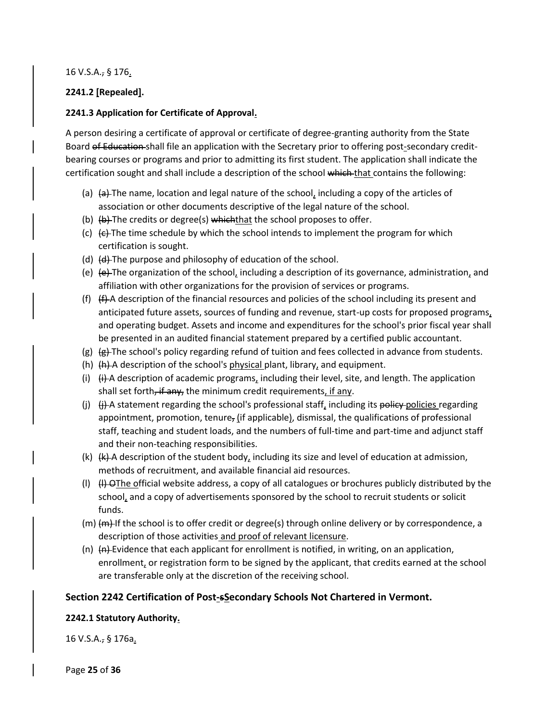#### 16 V.S.A., § 176.

### **2241.2 [Repealed].**

### **2241.3 Application for Certificate of Approval.**

A person desiring a certificate of approval or certificate of degree-granting authority from the State Board of Education shall file an application with the Secretary prior to offering post-secondary creditbearing courses or programs and prior to admitting its first student. The application shall indicate the certification sought and shall include a description of the school which that contains the following:

- (a)  $\left\{\Theta\right\}$  The name, location and legal nature of the school, including a copy of the articles of association or other documents descriptive of the legal nature of the school.
- (b)  $(b)$  The credits or degree(s) which that the school proposes to offer.
- (c)  $\left\{\epsilon\right\}$ . The time schedule by which the school intends to implement the program for which certification is sought.
- (d)  $(d)$  The purpose and philosophy of education of the school.
- (e)  $\left\{e\right\}$ The organization of the school, including a description of its governance, administration, and affiliation with other organizations for the provision of services or programs.
- (f)  $(H)$  A description of the financial resources and policies of the school including its present and anticipated future assets, sources of funding and revenue, start-up costs for proposed programs, and operating budget. Assets and income and expenditures for the school's prior fiscal year shall be presented in an audited financial statement prepared by a certified public accountant.
- (g)  $(g)$   $(g)$ -The school's policy regarding refund of tuition and fees collected in advance from students.
- (h)  $(h)$  A description of the school's physical plant, library, and equipment.
- (i)  $(H)$  A description of academic programs, including their level, site, and length. The application shall set forth, if any, the minimum credit requirements, if any.
- (j)  $(i)$   $(i)$  statement regarding the school's professional staff, including its policy policies regarding appointment, promotion, tenure, (if applicable), dismissal, the qualifications of professional staff, teaching and student loads, and the numbers of full-time and part-time and adjunct staff and their non-teaching responsibilities.
- $(k)$   $(k)$  A description of the student body, including its size and level of education at admission, methods of recruitment, and available financial aid resources.
- (I)  $(H)$  OThe official website address, a copy of all catalogues or brochures publicly distributed by the school, and a copy of advertisements sponsored by the school to recruit students or solicit funds.
- $(m)$   $(m)$  If the school is to offer credit or degree(s) through online delivery or by correspondence, a description of those activities and proof of relevant licensure.
- (n)  $\left\{\text{A}\right\}$  Evidence that each applicant for enrollment is notified, in writing, on an application, enrollment, or registration form to be signed by the applicant, that credits earned at the school are transferable only at the discretion of the receiving school.

### **Section 2242 Certification of Post-sSecondary Schools Not Chartered in Vermont.**

### **2242.1 Statutory Authority.**

16 V.S.A., § 176a.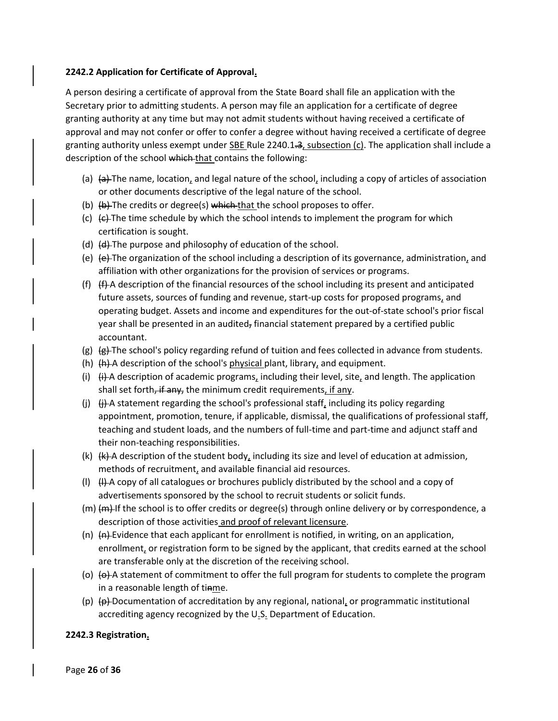#### **2242.2 Application for Certificate of Approval.**

A person desiring a certificate of approval from the State Board shall file an application with the Secretary prior to admitting students. A person may file an application for a certificate of degree granting authority at any time but may not admit students without having received a certificate of approval and may not confer or offer to confer a degree without having received a certificate of degree granting authority unless exempt under SBE Rule 2240.1.3, subsection (c). The application shall include a description of the school which that contains the following:

- (a)  $\left\{\phi\right\}$  The name, location, and legal nature of the school, including a copy of articles of association or other documents descriptive of the legal nature of the school.
- (b)  $(b)$  The credits or degree(s) which that the school proposes to offer.
- (c)  $\left\langle \epsilon \right\rangle$  The time schedule by which the school intends to implement the program for which certification is sought.
- (d) (d) The purpose and philosophy of education of the school.
- (e)  $\left\{\theta\right\}$  The organization of the school including a description of its governance, administration, and affiliation with other organizations for the provision of services or programs.
- (f)  $(f)$   $(f)$  description of the financial resources of the school including its present and anticipated future assets, sources of funding and revenue, start-up costs for proposed programs, and operating budget. Assets and income and expenditures for the out-of-state school's prior fiscal year shall be presented in an audited, financial statement prepared by a certified public accountant.
- (g)  $\left(\frac{g}{g}\right)$  The school's policy regarding refund of tuition and fees collected in advance from students.
- (h)  $\{h\}$  A description of the school's physical plant, library, and equipment.
- (i)  $(H)$  A description of academic programs, including their level, site, and length. The application shall set forth, if any, the minimum credit requirements, if any.
- (j)  $\theta$ . Guatement regarding the school's professional staff, including its policy regarding appointment, promotion, tenure, if applicable, dismissal, the qualifications of professional staff, teaching and student loads, and the numbers of full-time and part-time and adjunct staff and their non-teaching responsibilities.
- $(k)$   $(k)$  A description of the student body, including its size and level of education at admission, methods of recruitment, and available financial aid resources.
- (I)  $(H)$  A copy of all catalogues or brochures publicly distributed by the school and a copy of advertisements sponsored by the school to recruit students or solicit funds.
- $(m)$   $(m)$  If the school is to offer credits or degree(s) through online delivery or by correspondence, a description of those activities and proof of relevant licensure.
- (n)  $\left\{\text{A}\right\}$ -Evidence that each applicant for enrollment is notified, in writing, on an application, enrollment, or registration form to be signed by the applicant, that credits earned at the school are transferable only at the discretion of the receiving school.
- (o)  $\Theta$ ) A statement of commitment to offer the full program for students to complete the program in a reasonable length of tinme.
- (p)  $\Theta$  Documentation of accreditation by any regional, national, or programmatic institutional accrediting agency recognized by the U.S. Department of Education.

### **2242.3 Registration.**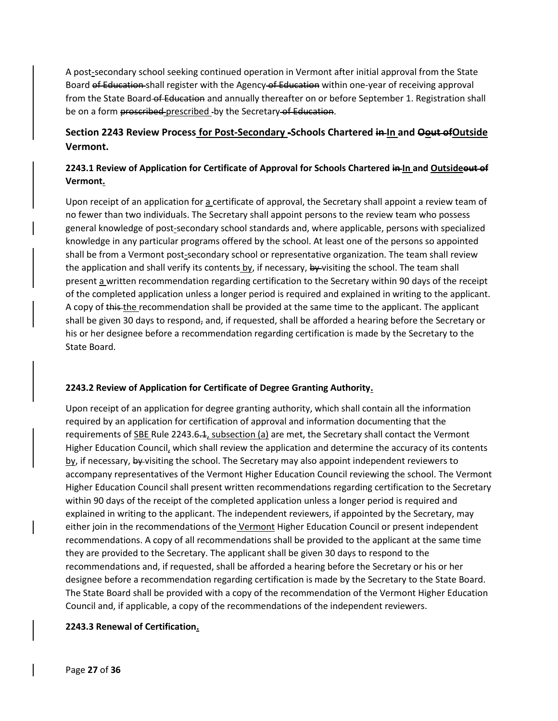A post-secondary school seeking continued operation in Vermont after initial approval from the State Board of Education shall register with the Agency of Education within one-year of receiving approval from the State Board-of Education and annually thereafter on or before September 1. Registration shall be on a form proscribed-prescribed - by the Secretary of Education.

# **Section 2243 Review Process for Post-Secondary -Schools Chartered in In and Oout ofOutside Vermont.**

# **2243.1 Review of Application for Certificate of Approval for Schools Chartered in In and Outsideout of Vermont.**

Upon receipt of an application for a certificate of approval, the Secretary shall appoint a review team of no fewer than two individuals. The Secretary shall appoint persons to the review team who possess general knowledge of post-secondary school standards and, where applicable, persons with specialized knowledge in any particular programs offered by the school. At least one of the persons so appointed shall be from a Vermont post-secondary school or representative organization. The team shall review the application and shall verify its contents by, if necessary, by visiting the school. The team shall present a written recommendation regarding certification to the Secretary within 90 days of the receipt of the completed application unless a longer period is required and explained in writing to the applicant. A copy of this the recommendation shall be provided at the same time to the applicant. The applicant shall be given 30 days to respond, and, if requested, shall be afforded a hearing before the Secretary or his or her designee before a recommendation regarding certification is made by the Secretary to the State Board.

### **2243.2 Review of Application for Certificate of Degree Granting Authority.**

Upon receipt of an application for degree granting authority, which shall contain all the information required by an application for certification of approval and information documenting that the requirements of SBE Rule 2243.6.1, subsection (a) are met, the Secretary shall contact the Vermont Higher Education Council, which shall review the application and determine the accuracy of its contents  $\underline{by}$ , if necessary,  $\underline{by}$ -visiting the school. The Secretary may also appoint independent reviewers to accompany representatives of the Vermont Higher Education Council reviewing the school. The Vermont Higher Education Council shall present written recommendations regarding certification to the Secretary within 90 days of the receipt of the completed application unless a longer period is required and explained in writing to the applicant. The independent reviewers, if appointed by the Secretary, may either join in the recommendations of the Vermont Higher Education Council or present independent recommendations. A copy of all recommendations shall be provided to the applicant at the same time they are provided to the Secretary. The applicant shall be given 30 days to respond to the recommendations and, if requested, shall be afforded a hearing before the Secretary or his or her designee before a recommendation regarding certification is made by the Secretary to the State Board. The State Board shall be provided with a copy of the recommendation of the Vermont Higher Education Council and, if applicable, a copy of the recommendations of the independent reviewers.

### **2243.3 Renewal of Certification.**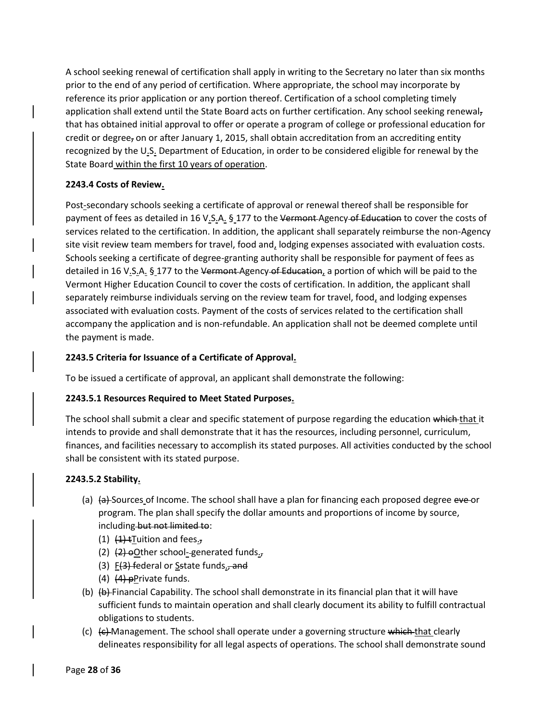A school seeking renewal of certification shall apply in writing to the Secretary no later than six months prior to the end of any period of certification. Where appropriate, the school may incorporate by reference its prior application or any portion thereof. Certification of a school completing timely application shall extend until the State Board acts on further certification. Any school seeking renewalthat has obtained initial approval to offer or operate a program of college or professional education for credit or degree, on or after January 1, 2015, shall obtain accreditation from an accrediting entity recognized by the U.S. Department of Education, in order to be considered eligible for renewal by the State Board within the first 10 years of operation.

### **2243.4 Costs of Review.**

Post-secondary schools seeking a certificate of approval or renewal thereof shall be responsible for payment of fees as detailed in 16 V.S.A. § 177 to the Vermont-Agency of Education to cover the costs of services related to the certification. In addition, the applicant shall separately reimburse the non-Agency site visit review team members for travel, food and, lodging expenses associated with evaluation costs. Schools seeking a certificate of degree-granting authority shall be responsible for payment of fees as detailed in 16 V.S.A. § 177 to the Vermont-Agency-of Education, a portion of which will be paid to the Vermont Higher Education Council to cover the costs of certification. In addition, the applicant shall separately reimburse individuals serving on the review team for travel, food, and lodging expenses associated with evaluation costs. Payment of the costs of services related to the certification shall accompany the application and is non-refundable. An application shall not be deemed complete until the payment is made.

### **2243.5 Criteria for Issuance of a Certificate of Approval.**

To be issued a certificate of approval, an applicant shall demonstrate the following:

### **2243.5.1 Resources Required to Meet Stated Purposes.**

The school shall submit a clear and specific statement of purpose regarding the education which that it intends to provide and shall demonstrate that it has the resources, including personnel, curriculum, finances, and facilities necessary to accomplish its stated purposes. All activities conducted by the school shall be consistent with its stated purpose.

### **2243.5.2 Stability.**

- (a)  $\left\{\phi\right\}$  Sources of Income. The school shall have a plan for financing each proposed degree eve or program. The plan shall specify the dollar amounts and proportions of income by source, including but not limited to:
	- $(1)$   $(1)$   $(1)$   $\pm$ Tuition and fees.,
	- (2)  $(2)$   $(2)$  oOther school-generated funds.
	- (3)  $F(3)$  federal or Sstate funds., and
	- $(4)$   $(4)$  pPrivate funds.
- (b)  $\left\langle \varphi \right\rangle$  Financial Capability. The school shall demonstrate in its financial plan that it will have sufficient funds to maintain operation and shall clearly document its ability to fulfill contractual obligations to students.
- (c)  $\left\{\epsilon\right\}$  Management. The school shall operate under a governing structure which that clearly delineates responsibility for all legal aspects of operations. The school shall demonstrate sound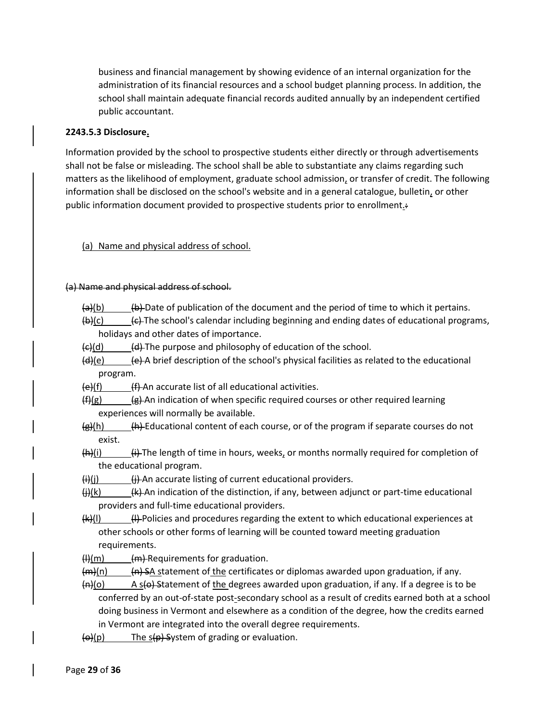business and financial management by showing evidence of an internal organization for the administration of its financial resources and a school budget planning process. In addition, the school shall maintain adequate financial records audited annually by an independent certified public accountant.

### **2243.5.3 Disclosure.**

Information provided by the school to prospective students either directly or through advertisements shall not be false or misleading. The school shall be able to substantiate any claims regarding such matters as the likelihood of employment, graduate school admission, or transfer of credit. The following information shall be disclosed on the school's website and in a general catalogue, bulletin, or other public information document provided to prospective students prior to enrollment.:

### (a) Name and physical address of school.

### (a) Name and physical address of school.

- $\bigoplus$  (b)  $\bigoplus$  Date of publication of the document and the period of time to which it pertains.
- $\bigoplus$  (c)  $\bigoplus$  The school's calendar including beginning and ending dates of educational programs, holidays and other dates of importance.
- $\left\langle \left( d \right) \right\rangle$  (d) The purpose and philosophy of education of the school.
- $\frac{d}{d}$ (e)  $\frac{e}{d}$  A brief description of the school's physical facilities as related to the educational program.
- $\left(\frac{e}{f}\right)$  (f) An accurate list of all educational activities.
- $(f)(g)$  ( $g$ ) An indication of when specific required courses or other required learning experiences will normally be available.
- $\left\langle \mathbf{g} \right\rangle$ (h)  $\left\langle \mathbf{h} \right\rangle$  Educational content of each course, or of the program if separate courses do not exist.
- $(H)(i)$  (i)  $(i)$  The length of time in hours, weeks, or months normally required for completion of the educational program.

 $\frac{f(x)}{f(x)}$  (i)  $\frac{f(x)}{f(x)}$  An accurate listing of current educational providers.

- $\left(\frac{1}{2}\right)$ (k)  $\left(\frac{1}{2}\right)$  An indication of the distinction, if any, between adjunct or part-time educational providers and full-time educational providers.
- $(H)(I)$  (H) Policies and procedures regarding the extent to which educational experiences at other schools or other forms of learning will be counted toward meeting graduation requirements.
- $(H)(m)$  (m) Requirements for graduation.
- $(m)(n)$  (n) SA statement of the certificates or diplomas awarded upon graduation, if any.
- $(n)(o)$  A s(o) Statement of the degrees awarded upon graduation, if any. If a degree is to be conferred by an out-of-state post-secondary school as a result of credits earned both at a school doing business in Vermont and elsewhere as a condition of the degree, how the credits earned in Vermont are integrated into the overall degree requirements.
- $\Theta$ (p) The s(p) System of grading or evaluation.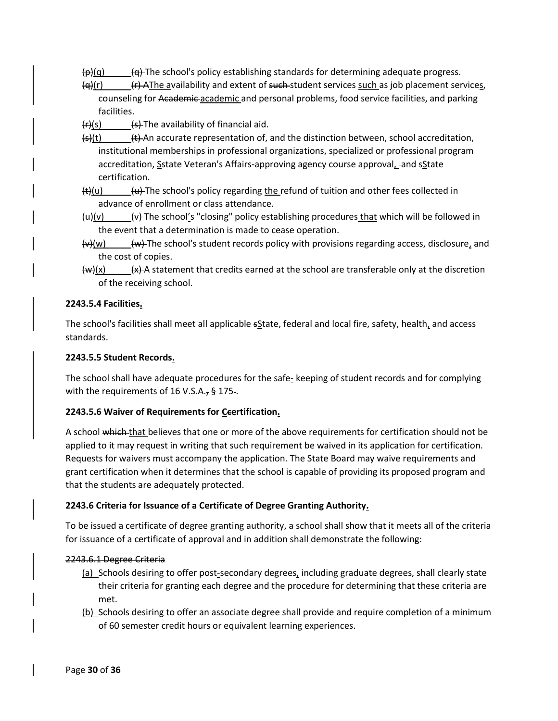- $(\frac{\rho}{\rho})$ (g)  $(\frac{\rho}{\rho})$  The school's policy establishing standards for determining adequate progress.
- $\left\{ \theta | r \right\}$  (r)  $\left\{ \theta | r \right\}$  AThe availability and extent of such student services such as job placement services, counseling for Academic academic and personal problems, food service facilities, and parking facilities.
- $(r)(s)$  (s) The availability of financial aid.
- $(\frac{1}{2})$ (t) (t) An accurate representation of, and the distinction between, school accreditation, institutional memberships in professional organizations, specialized or professional program accreditation, Sstate Veteran's Affairs-approving agency course approval, and sState certification.
- $(t)(u)$  (u) The school's policy regarding the refund of tuition and other fees collected in advance of enrollment or class attendance.
- $\frac{u}{v}$   $\frac{v}{v}$  The school's "closing" policy establishing procedures that which will be followed in the event that a determination is made to cease operation.
- $\overline{w}$ (w)  $\qquad$  (w) The school's student records policy with provisions regarding access, disclosure, and the cost of copies.
- $(w)(x)$  (w)  $(x)$  A statement that credits earned at the school are transferable only at the discretion of the receiving school.

### **2243.5.4 Facilities.**

The school's facilities shall meet all applicable sState, federal and local fire, safety, health, and access standards.

### **2243.5.5 Student Records.**

The school shall have adequate procedures for the safe- keeping of student records and for complying with the requirements of 16 V.S.A., § 175.

### **2243.5.6 Waiver of Requirements for Ccertification.**

A school which that believes that one or more of the above requirements for certification should not be applied to it may request in writing that such requirement be waived in its application for certification. Requests for waivers must accompany the application. The State Board may waive requirements and grant certification when it determines that the school is capable of providing its proposed program and that the students are adequately protected.

### **2243.6 Criteria for Issuance of a Certificate of Degree Granting Authority.**

To be issued a certificate of degree granting authority, a school shall show that it meets all of the criteria for issuance of a certificate of approval and in addition shall demonstrate the following:

### 2243.6.1 Degree Criteria

- $(a)$  Schools desiring to offer post-secondary degrees, including graduate degrees, shall clearly state their criteria for granting each degree and the procedure for determining that these criteria are met.
- (b) Schools desiring to offer an associate degree shall provide and require completion of a minimum of 60 semester credit hours or equivalent learning experiences.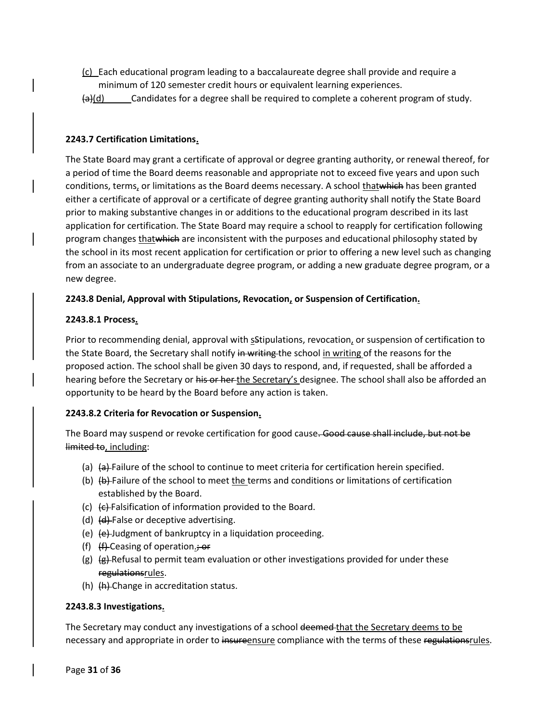- (c) Each educational program leading to a baccalaureate degree shall provide and require a minimum of 120 semester credit hours or equivalent learning experiences.
- $\frac{a}{d}$ (d) Candidates for a degree shall be required to complete a coherent program of study.

#### **2243.7 Certification Limitations.**

The State Board may grant a certificate of approval or degree granting authority, or renewal thereof, for a period of time the Board deems reasonable and appropriate not to exceed five years and upon such conditions, terms, or limitations as the Board deems necessary. A school thatwhich has been granted either a certificate of approval or a certificate of degree granting authority shall notify the State Board prior to making substantive changes in or additions to the educational program described in its last application for certification. The State Board may require a school to reapply for certification following program changes that which are inconsistent with the purposes and educational philosophy stated by the school in its most recent application for certification or prior to offering a new level such as changing from an associate to an undergraduate degree program, or adding a new graduate degree program, or a new degree.

#### **2243.8 Denial, Approval with Stipulations, Revocation, or Suspension of Certification.**

#### **2243.8.1 Process.**

Prior to recommending denial, approval with sStipulations, revocation, or suspension of certification to the State Board, the Secretary shall notify in writing the school in writing of the reasons for the proposed action. The school shall be given 30 days to respond, and, if requested, shall be afforded a hearing before the Secretary or his or her the Secretary's designee. The school shall also be afforded an opportunity to be heard by the Board before any action is taken.

### **2243.8.2 Criteria for Revocation or Suspension.**

The Board may suspend or revoke certification for good cause. Good cause shall include, but not be limited to, including:

- (a)  $\left\{\phi\right\}$  Failure of the school to continue to meet criteria for certification herein specified.
- (b)  $\left\{\phi\right\}$  Failure of the school to meet the terms and conditions or limitations of certification established by the Board.
- (c) (c) Falsification of information provided to the Board.
- (d)  $(d)$  False or deceptive advertising.
- (e) (e) Judgment of bankruptcy in a liquidation proceeding.
- (f)  $(H)$  Ceasing of operation.; or
- (g)  $\left(\frac{g}{g}\right)$  Refusal to permit team evaluation or other investigations provided for under these regulationsrules.
- (h) (h) Change in accreditation status.

#### **2243.8.3 Investigations.**

The Secretary may conduct any investigations of a school deemed that the Secretary deems to be necessary and appropriate in order to insureensure compliance with the terms of these regulationsrules.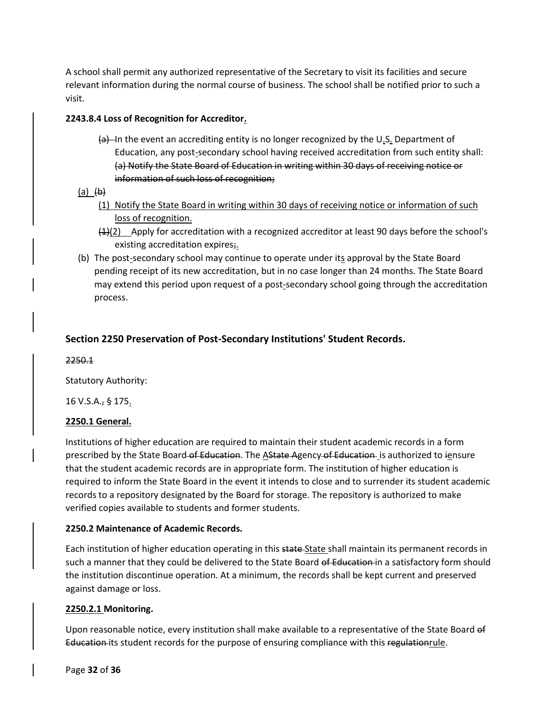A school shall permit any authorized representative of the Secretary to visit its facilities and secure relevant information during the normal course of business. The school shall be notified prior to such a visit.

### **2243.8.4 Loss of Recognition for Accreditor.**

- $(a)$ —In the event an accrediting entity is no longer recognized by the U<sub>.S.</sub> Department of Education, any post-secondary school having received accreditation from such entity shall: (a) Notify the State Board of Education in writing within 30 days of receiving notice or information of such loss of recognition;
- (a)  $\theta$ )
	- (1) Notify the State Board in writing within 30 days of receiving notice or information of such loss of recognition.
	- $(4)$ (2) Apply for accreditation with a recognized accreditor at least 90 days before the school's existing accreditation expires;
- (b) The post-secondary school may continue to operate under its approval by the State Board pending receipt of its new accreditation, but in no case longer than 24 months. The State Board may extend this period upon request of a post-secondary school going through the accreditation process.

### **Section 2250 Preservation of Post-Secondary Institutions' Student Records.**

2250.1

Statutory Authority:

16 V.S.A., § 175.

### **2250.1 General.**

Institutions of higher education are required to maintain their student academic records in a form prescribed by the State Board of Education. The AState Agency of Education is authorized to iensure that the student academic records are in appropriate form. The institution of higher education is required to inform the State Board in the event it intends to close and to surrender its student academic records to a repository designated by the Board for storage. The repository is authorized to make verified copies available to students and former students.

### **2250.2 Maintenance of Academic Records.**

Each institution of higher education operating in this state State shall maintain its permanent records in such a manner that they could be delivered to the State Board of Education in a satisfactory form should the institution discontinue operation. At a minimum, the records shall be kept current and preserved against damage or loss.

### **2250.2.1 Monitoring.**

Upon reasonable notice, every institution shall make available to a representative of the State Board of Education its student records for the purpose of ensuring compliance with this regulationrule.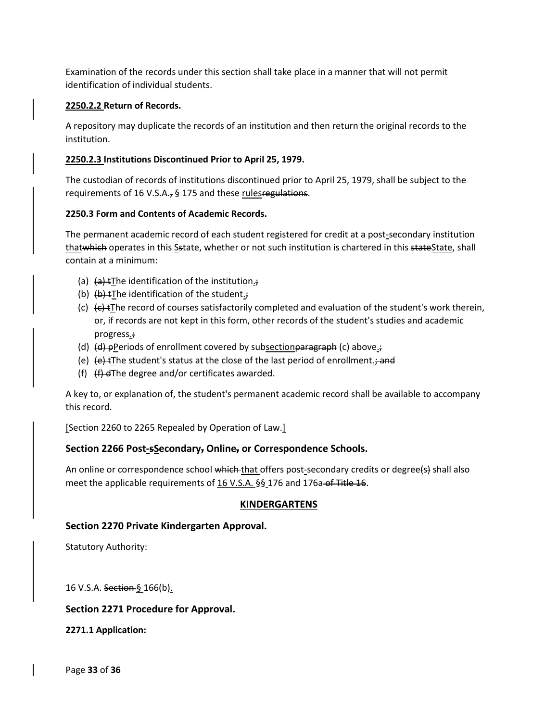Examination of the records under this section shall take place in a manner that will not permit identification of individual students.

### **2250.2.2 Return of Records.**

A repository may duplicate the records of an institution and then return the original records to the institution.

### **2250.2.3 Institutions Discontinued Prior to April 25, 1979.**

The custodian of records of institutions discontinued prior to April 25, 1979, shall be subject to the requirements of 16 V.S.A., § 175 and these rules regulations.

### **2250.3 Form and Contents of Academic Records.**

The permanent academic record of each student registered for credit at a post-secondary institution thatwhich operates in this Sstate, whether or not such institution is chartered in this stateState, shall contain at a minimum:

- (a)  $(a)$  tThe identification of the institution.;
- (b)  $(b)$   $(b)$  tThe identification of the student.;
- (c)  $\left(\epsilon\right)$  + The record of courses satisfactorily completed and evaluation of the student's work therein, or, if records are not kept in this form, other records of the student's studies and academic progress.;
- (d)  $(d)$  pPeriods of enrollment covered by subsection paragraph (c) above.;
- (e)  $\left\{e\right\}$  tThe student's status at the close of the last period of enrollment.; and
- (f)  $(f)$   $(f)$  dThe degree and/or certificates awarded.

A key to, or explanation of, the student's permanent academic record shall be available to accompany this record.

[Section 2260 to 2265 Repealed by Operation of Law.]

### **Section 2266 Post-sSecondary, Online, or Correspondence Schools.**

An online or correspondence school which that offers post-secondary credits or degree(s) shall also meet the applicable requirements of 16 V.S.A. §§ 176 and 176a of Title 16.

### **KINDERGARTENS**

### **Section 2270 Private Kindergarten Approval.**

Statutory Authority:

16 V.S.A. Section § 166(b).

### **Section 2271 Procedure for Approval.**

**2271.1 Application:**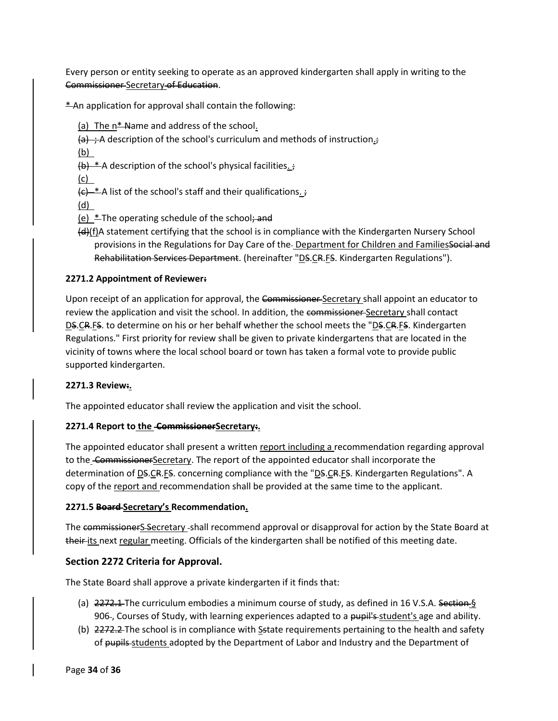Every person or entity seeking to operate as an approved kindergarten shall apply in writing to the Commissioner Secretary of Education.

\* An application for approval shall contain the following:

(a) The  $n*$  Name and address of the school.

 $\left\{a\right\}$  ; A description of the school's curriculum and methods of instruction.

(b)

 $(b)$  \* A description of the school's physical facilities. ;

(c)

 $\overline{f}(t)$  \* A list of the school's staff and their qualifications.  $\overline{f}$ 

(d)

(e)  $*$ The operating schedule of the school; and

(d)(f)A statement certifying that the school is in compliance with the Kindergarten Nursery School provisions in the Regulations for Day Care of the-Department for Children and FamiliesSocial and Rehabilitation Services Department. (hereinafter "DS.CR.FS. Kindergarten Regulations").

### **2271.2 Appointment of Reviewer:**

Upon receipt of an application for approval, the Commissioner-Secretary shall appoint an educator to review the application and visit the school. In addition, the commissioner-Secretary shall contact DS.CR.FS. to determine on his or her behalf whether the school meets the "DS.CR.FS. Kindergarten Regulations." First priority for review shall be given to private kindergartens that are located in the vicinity of towns where the local school board or town has taken a formal vote to provide public supported kindergarten.

### **2271.3 Review:.**

The appointed educator shall review the application and visit the school.

### **2271.4 Report to the CommissionerSecretary:.**

The appointed educator shall present a written report including a recommendation regarding approval to the CommissionerSecretary. The report of the appointed educator shall incorporate the determination of DS.CR.FS. concerning compliance with the "DS.CR.FS. Kindergarten Regulations". A copy of the report and recommendation shall be provided at the same time to the applicant.

### **2271.5 Board Secretary's Recommendation.**

The commissionerS Secretary -shall recommend approval or disapproval for action by the State Board at their-its next regular meeting. Officials of the kindergarten shall be notified of this meeting date.

### **Section 2272 Criteria for Approval.**

The State Board shall approve a private kindergarten if it finds that:

- (a)  $2272.1$  The curriculum embodies a minimum course of study, as defined in 16 V.S.A. Section § 906-, Courses of Study, with learning experiences adapted to a pupil's-student's age and ability.
- (b) 2272.2 The school is in compliance with Sstate requirements pertaining to the health and safety of pupils students adopted by the Department of Labor and Industry and the Department of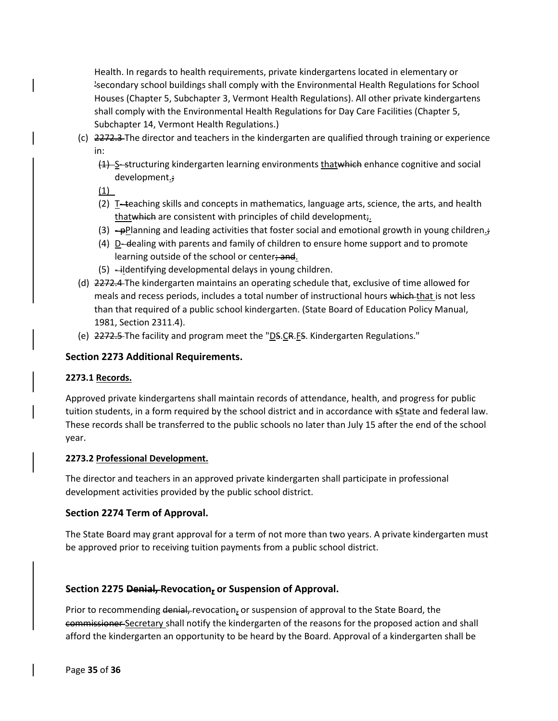Health. In regards to health requirements, private kindergartens located in elementary or 'secondary school buildings shall comply with the Environmental Health Regulations for School Houses (Chapter 5, Subchapter 3, Vermont Health Regulations). All other private kindergartens shall comply with the Environmental Health Regulations for Day Care Facilities (Chapter 5, Subchapter 14, Vermont Health Regulations.)

- (c) 2272.3 The director and teachers in the kindergarten are qualified through training or experience in:
	- (1) S-structuring kindergarten learning environments thatwhich enhance cognitive and social development.;

(1)

- (2) T- teaching skills and concepts in mathematics, language arts, science, the arts, and health thatwhich are consistent with principles of child development;
- $(3)$  -pPlanning and leading activities that foster social and emotional growth in young children.
- (4) D- dealing with parents and family of children to ensure home support and to promote learning outside of the school or center; and.
- $(5)$  -ildentifying developmental delays in young children.
- (d) 2272.4 The kindergarten maintains an operating schedule that, exclusive of time allowed for meals and recess periods, includes a total number of instructional hours which that is not less than that required of a public school kindergarten. (State Board of Education Policy Manual, 1981, Section 2311.4).
- (e) 2272.5 The facility and program meet the "DS.CR.FS. Kindergarten Regulations."

### **Section 2273 Additional Requirements.**

### **2273.1 Records.**

Approved private kindergartens shall maintain records of attendance, health, and progress for public tuition students, in a form required by the school district and in accordance with sState and federal law. These records shall be transferred to the public schools no later than July 15 after the end of the school year.

### **2273.2 Professional Development.**

The director and teachers in an approved private kindergarten shall participate in professional development activities provided by the public school district.

### **Section 2274 Term of Approval.**

The State Board may grant approval for a term of not more than two years. A private kindergarten must be approved prior to receiving tuition payments from a public school district.

### **Section 2275 Denial, Revocation, or Suspension of Approval.**

Prior to recommending denial, revocation, or suspension of approval to the State Board, the commissioner Secretary shall notify the kindergarten of the reasons for the proposed action and shall afford the kindergarten an opportunity to be heard by the Board. Approval of a kindergarten shall be